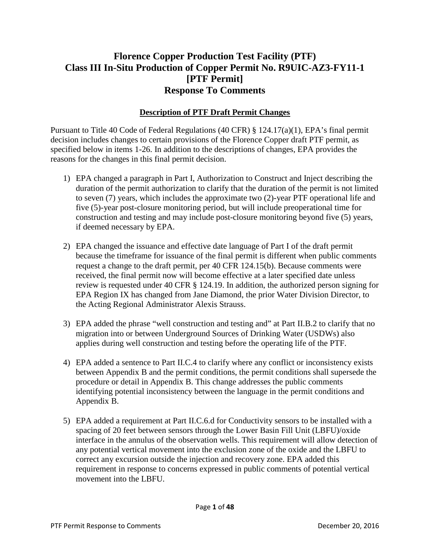# **Florence Copper Production Test Facility (PTF) Class III In-Situ Production of Copper Permit No. R9UIC-AZ3-FY11-1 [PTF Permit] Response To Comments**

# **Description of PTF Draft Permit Changes**

Pursuant to Title 40 Code of Federal Regulations (40 CFR) § 124.17(a)(1), EPA's final permit decision includes changes to certain provisions of the Florence Copper draft PTF permit, as specified below in items 1-26. In addition to the descriptions of changes, EPA provides the reasons for the changes in this final permit decision.

- 1) EPA changed a paragraph in Part I, Authorization to Construct and Inject describing the duration of the permit authorization to clarify that the duration of the permit is not limited to seven (7) years, which includes the approximate two (2)-year PTF operational life and five (5)-year post-closure monitoring period, but will include preoperational time for construction and testing and may include post-closure monitoring beyond five (5) years, if deemed necessary by EPA.
- 2) EPA changed the issuance and effective date language of Part I of the draft permit because the timeframe for issuance of the final permit is different when public comments request a change to the draft permit, per 40 CFR 124.15(b). Because comments were received, the final permit now will become effective at a later specified date unless review is requested under 40 CFR § 124.19. In addition, the authorized person signing for EPA Region IX has changed from Jane Diamond, the prior Water Division Director, to the Acting Regional Administrator Alexis Strauss.
- 3) EPA added the phrase "well construction and testing and" at Part II.B.2 to clarify that no migration into or between Underground Sources of Drinking Water (USDWs) also applies during well construction and testing before the operating life of the PTF.
- 4) EPA added a sentence to Part II.C.4 to clarify where any conflict or inconsistency exists between Appendix B and the permit conditions, the permit conditions shall supersede the procedure or detail in Appendix B. This change addresses the public comments identifying potential inconsistency between the language in the permit conditions and Appendix B.
- 5) EPA added a requirement at Part II.C.6.d for Conductivity sensors to be installed with a spacing of 20 feet between sensors through the Lower Basin Fill Unit (LBFU)/oxide interface in the annulus of the observation wells. This requirement will allow detection of any potential vertical movement into the exclusion zone of the oxide and the LBFU to correct any excursion outside the injection and recovery zone. EPA added this requirement in response to concerns expressed in public comments of potential vertical movement into the LBFU.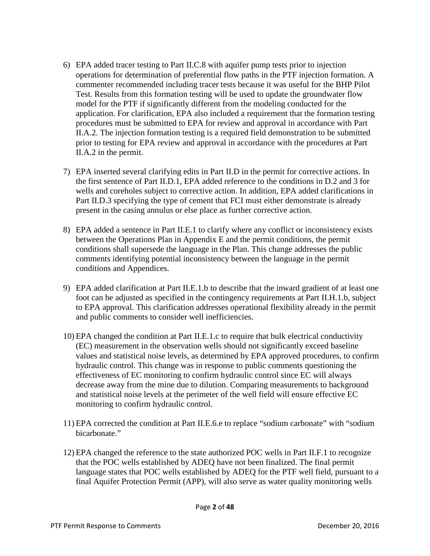- 6) EPA added tracer testing to Part II.C.8 with aquifer pump tests prior to injection operations for determination of preferential flow paths in the PTF injection formation. A commenter recommended including tracer tests because it was useful for the BHP Pilot Test. Results from this formation testing will be used to update the groundwater flow model for the PTF if significantly different from the modeling conducted for the application. For clarification, EPA also included a requirement that the formation testing procedures must be submitted to EPA for review and approval in accordance with Part II.A.2. The injection formation testing is a required field demonstration to be submitted prior to testing for EPA review and approval in accordance with the procedures at Part II.A.2 in the permit.
- 7) EPA inserted several clarifying edits in Part II.D in the permit for corrective actions. In the first sentence of Part II.D.1, EPA added reference to the conditions in D.2 and 3 for wells and coreholes subject to corrective action. In addition, EPA added clarifications in Part II.D.3 specifying the type of cement that FCI must either demonstrate is already present in the casing annulus or else place as further corrective action.
- 8) EPA added a sentence in Part II.E.1 to clarify where any conflict or inconsistency exists between the Operations Plan in Appendix E and the permit conditions, the permit conditions shall supersede the language in the Plan. This change addresses the public comments identifying potential inconsistency between the language in the permit conditions and Appendices.
- 9) EPA added clarification at Part II.E.1.b to describe that the inward gradient of at least one foot can be adjusted as specified in the contingency requirements at Part II.H.1.b, subject to EPA approval. This clarification addresses operational flexibility already in the permit and public comments to consider well inefficiencies.
- 10) EPA changed the condition at Part II.E.1.c to require that bulk electrical conductivity (EC) measurement in the observation wells should not significantly exceed baseline values and statistical noise levels, as determined by EPA approved procedures, to confirm hydraulic control. This change was in response to public comments questioning the effectiveness of EC monitoring to confirm hydraulic control since EC will always decrease away from the mine due to dilution. Comparing measurements to background and statistical noise levels at the perimeter of the well field will ensure effective EC monitoring to confirm hydraulic control.
- 11) EPA corrected the condition at Part II.E.6.e to replace "sodium carbonate" with "sodium bicarbonate."
- 12) EPA changed the reference to the state authorized POC wells in Part II.F.1 to recognize that the POC wells established by ADEQ have not been finalized. The final permit language states that POC wells established by ADEQ for the PTF well field, pursuant to a final Aquifer Protection Permit (APP), will also serve as water quality monitoring wells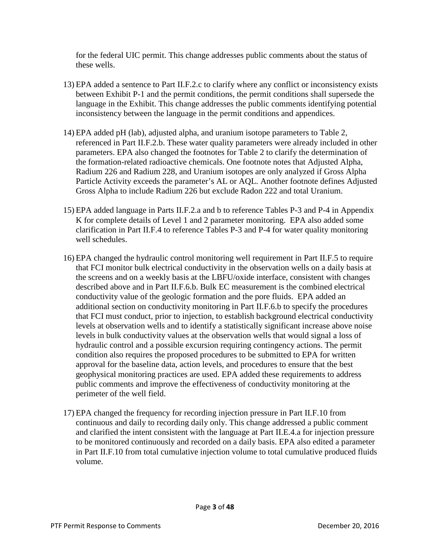for the federal UIC permit. This change addresses public comments about the status of these wells.

- 13) EPA added a sentence to Part II.F.2.c to clarify where any conflict or inconsistency exists between Exhibit P-1 and the permit conditions, the permit conditions shall supersede the language in the Exhibit. This change addresses the public comments identifying potential inconsistency between the language in the permit conditions and appendices.
- 14) EPA added pH (lab), adjusted alpha, and uranium isotope parameters to Table 2, referenced in Part II.F.2.b. These water quality parameters were already included in other parameters. EPA also changed the footnotes for Table 2 to clarify the determination of the formation-related radioactive chemicals. One footnote notes that Adjusted Alpha, Radium 226 and Radium 228, and Uranium isotopes are only analyzed if Gross Alpha Particle Activity exceeds the parameter's AL or AQL. Another footnote defines Adjusted Gross Alpha to include Radium 226 but exclude Radon 222 and total Uranium.
- 15) EPA added language in Parts II.F.2.a and b to reference Tables P-3 and P-4 in Appendix K for complete details of Level 1 and 2 parameter monitoring. EPA also added some clarification in Part II.F.4 to reference Tables P-3 and P-4 for water quality monitoring well schedules.
- 16) EPA changed the hydraulic control monitoring well requirement in Part II.F.5 to require that FCI monitor bulk electrical conductivity in the observation wells on a daily basis at the screens and on a weekly basis at the LBFU/oxide interface, consistent with changes described above and in Part II.F.6.b. Bulk EC measurement is the combined electrical conductivity value of the geologic formation and the pore fluids. EPA added an additional section on conductivity monitoring in Part II.F.6.b to specify the procedures that FCI must conduct, prior to injection, to establish background electrical conductivity levels at observation wells and to identify a statistically significant increase above noise levels in bulk conductivity values at the observation wells that would signal a loss of hydraulic control and a possible excursion requiring contingency actions. The permit condition also requires the proposed procedures to be submitted to EPA for written approval for the baseline data, action levels, and procedures to ensure that the best geophysical monitoring practices are used. EPA added these requirements to address public comments and improve the effectiveness of conductivity monitoring at the perimeter of the well field.
- 17) EPA changed the frequency for recording injection pressure in Part II.F.10 from continuous and daily to recording daily only. This change addressed a public comment and clarified the intent consistent with the language at Part II.E.4.a for injection pressure to be monitored continuously and recorded on a daily basis. EPA also edited a parameter in Part II.F.10 from total cumulative injection volume to total cumulative produced fluids volume.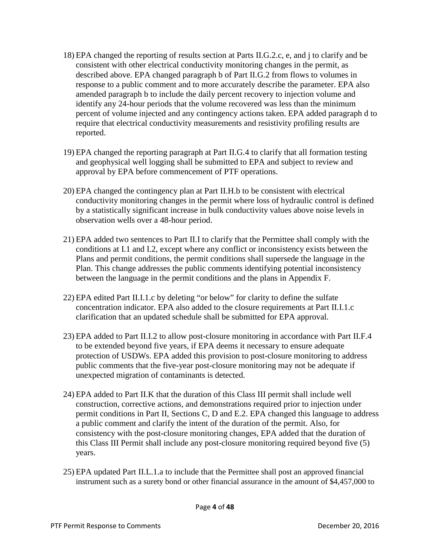- 18) EPA changed the reporting of results section at Parts II.G.2.c, e, and j to clarify and be consistent with other electrical conductivity monitoring changes in the permit, as described above. EPA changed paragraph b of Part II.G.2 from flows to volumes in response to a public comment and to more accurately describe the parameter. EPA also amended paragraph b to include the daily percent recovery to injection volume and identify any 24-hour periods that the volume recovered was less than the minimum percent of volume injected and any contingency actions taken. EPA added paragraph d to require that electrical conductivity measurements and resistivity profiling results are reported.
- 19) EPA changed the reporting paragraph at Part II.G.4 to clarify that all formation testing and geophysical well logging shall be submitted to EPA and subject to review and approval by EPA before commencement of PTF operations.
- 20) EPA changed the contingency plan at Part II.H.b to be consistent with electrical conductivity monitoring changes in the permit where loss of hydraulic control is defined by a statistically significant increase in bulk conductivity values above noise levels in observation wells over a 48-hour period.
- 21) EPA added two sentences to Part II.I to clarify that the Permittee shall comply with the conditions at I.1 and I.2, except where any conflict or inconsistency exists between the Plans and permit conditions, the permit conditions shall supersede the language in the Plan. This change addresses the public comments identifying potential inconsistency between the language in the permit conditions and the plans in Appendix F.
- 22) EPA edited Part II.I.1.c by deleting "or below" for clarity to define the sulfate concentration indicator. EPA also added to the closure requirements at Part II.I.1.c clarification that an updated schedule shall be submitted for EPA approval.
- 23) EPA added to Part II.I.2 to allow post-closure monitoring in accordance with Part II.F.4 to be extended beyond five years, if EPA deems it necessary to ensure adequate protection of USDWs. EPA added this provision to post-closure monitoring to address public comments that the five-year post-closure monitoring may not be adequate if unexpected migration of contaminants is detected.
- 24) EPA added to Part II.K that the duration of this Class III permit shall include well construction, corrective actions, and demonstrations required prior to injection under permit conditions in Part II, Sections C, D and E.2. EPA changed this language to address a public comment and clarify the intent of the duration of the permit. Also, for consistency with the post-closure monitoring changes, EPA added that the duration of this Class III Permit shall include any post-closure monitoring required beyond five (5) years.
- 25) EPA updated Part II.L.1.a to include that the Permittee shall post an approved financial instrument such as a surety bond or other financial assurance in the amount of \$4,457,000 to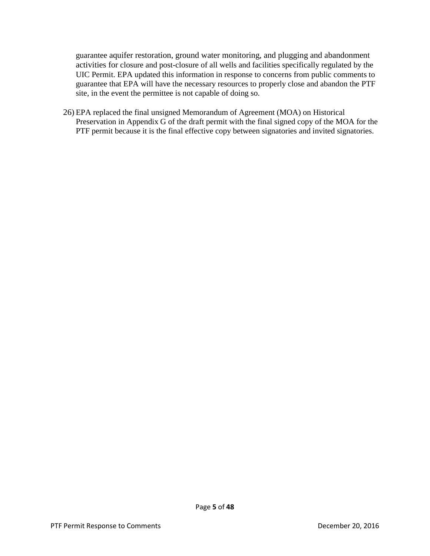guarantee aquifer restoration, ground water monitoring, and plugging and abandonment activities for closure and post-closure of all wells and facilities specifically regulated by the UIC Permit. EPA updated this information in response to concerns from public comments to guarantee that EPA will have the necessary resources to properly close and abandon the PTF site, in the event the permittee is not capable of doing so.

26) EPA replaced the final unsigned Memorandum of Agreement (MOA) on Historical Preservation in Appendix G of the draft permit with the final signed copy of the MOA for the PTF permit because it is the final effective copy between signatories and invited signatories.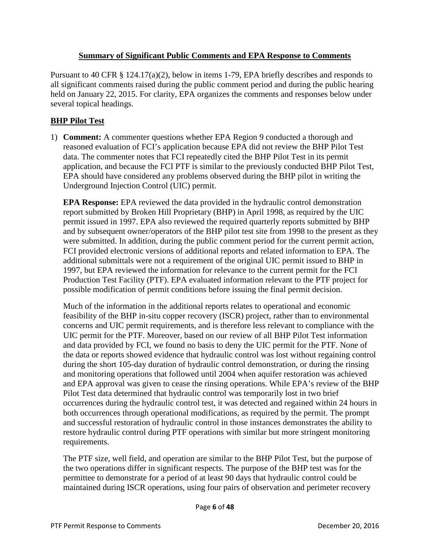## **Summary of Significant Public Comments and EPA Response to Comments**

Pursuant to 40 CFR  $\S$  124.17(a)(2), below in items 1-79, EPA briefly describes and responds to all significant comments raised during the public comment period and during the public hearing held on January 22, 2015. For clarity, EPA organizes the comments and responses below under several topical headings.

## **BHP Pilot Test**

1) **Comment:** A commenter questions whether EPA Region 9 conducted a thorough and reasoned evaluation of FCI's application because EPA did not review the BHP Pilot Test data. The commenter notes that FCI repeatedly cited the BHP Pilot Test in its permit application, and because the FCI PTF is similar to the previously conducted BHP Pilot Test, EPA should have considered any problems observed during the BHP pilot in writing the Underground Injection Control (UIC) permit.

**EPA Response:** EPA reviewed the data provided in the hydraulic control demonstration report submitted by Broken Hill Proprietary (BHP) in April 1998, as required by the UIC permit issued in 1997. EPA also reviewed the required quarterly reports submitted by BHP and by subsequent owner/operators of the BHP pilot test site from 1998 to the present as they were submitted. In addition, during the public comment period for the current permit action, FCI provided electronic versions of additional reports and related information to EPA. The additional submittals were not a requirement of the original UIC permit issued to BHP in 1997, but EPA reviewed the information for relevance to the current permit for the FCI Production Test Facility (PTF). EPA evaluated information relevant to the PTF project for possible modification of permit conditions before issuing the final permit decision.

Much of the information in the additional reports relates to operational and economic feasibility of the BHP in-situ copper recovery (ISCR) project, rather than to environmental concerns and UIC permit requirements, and is therefore less relevant to compliance with the UIC permit for the PTF. Moreover, based on our review of all BHP Pilot Test information and data provided by FCI, we found no basis to deny the UIC permit for the PTF. None of the data or reports showed evidence that hydraulic control was lost without regaining control during the short 105-day duration of hydraulic control demonstration, or during the rinsing and monitoring operations that followed until 2004 when aquifer restoration was achieved and EPA approval was given to cease the rinsing operations. While EPA's review of the BHP Pilot Test data determined that hydraulic control was temporarily lost in two brief occurrences during the hydraulic control test, it was detected and regained within 24 hours in both occurrences through operational modifications, as required by the permit. The prompt and successful restoration of hydraulic control in those instances demonstrates the ability to restore hydraulic control during PTF operations with similar but more stringent monitoring requirements.

The PTF size, well field, and operation are similar to the BHP Pilot Test, but the purpose of the two operations differ in significant respects. The purpose of the BHP test was for the permittee to demonstrate for a period of at least 90 days that hydraulic control could be maintained during ISCR operations, using four pairs of observation and perimeter recovery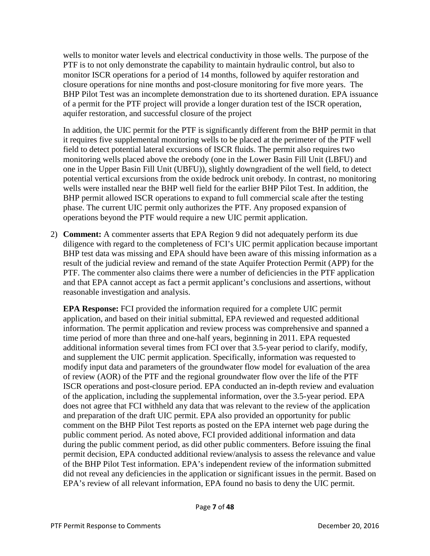wells to monitor water levels and electrical conductivity in those wells. The purpose of the PTF is to not only demonstrate the capability to maintain hydraulic control, but also to monitor ISCR operations for a period of 14 months, followed by aquifer restoration and closure operations for nine months and post-closure monitoring for five more years. The BHP Pilot Test was an incomplete demonstration due to its shortened duration. EPA issuance of a permit for the PTF project will provide a longer duration test of the ISCR operation, aquifer restoration, and successful closure of the project

In addition, the UIC permit for the PTF is significantly different from the BHP permit in that it requires five supplemental monitoring wells to be placed at the perimeter of the PTF well field to detect potential lateral excursions of ISCR fluids. The permit also requires two monitoring wells placed above the orebody (one in the Lower Basin Fill Unit (LBFU) and one in the Upper Basin Fill Unit (UBFU)), slightly downgradient of the well field, to detect potential vertical excursions from the oxide bedrock unit orebody. In contrast, no monitoring wells were installed near the BHP well field for the earlier BHP Pilot Test. In addition, the BHP permit allowed ISCR operations to expand to full commercial scale after the testing phase. The current UIC permit only authorizes the PTF. Any proposed expansion of operations beyond the PTF would require a new UIC permit application.

2) **Comment:** A commenter asserts that EPA Region 9 did not adequately perform its due diligence with regard to the completeness of FCI's UIC permit application because important BHP test data was missing and EPA should have been aware of this missing information as a result of the judicial review and remand of the state Aquifer Protection Permit (APP) for the PTF. The commenter also claims there were a number of deficiencies in the PTF application and that EPA cannot accept as fact a permit applicant's conclusions and assertions, without reasonable investigation and analysis.

**EPA Response:** FCI provided the information required for a complete UIC permit application, and based on their initial submittal, EPA reviewed and requested additional information. The permit application and review process was comprehensive and spanned a time period of more than three and one-half years, beginning in 2011. EPA requested additional information several times from FCI over that 3.5-year period to clarify, modify, and supplement the UIC permit application. Specifically, information was requested to modify input data and parameters of the groundwater flow model for evaluation of the area of review (AOR) of the PTF and the regional groundwater flow over the life of the PTF ISCR operations and post-closure period. EPA conducted an in-depth review and evaluation of the application, including the supplemental information, over the 3.5-year period. EPA does not agree that FCI withheld any data that was relevant to the review of the application and preparation of the draft UIC permit. EPA also provided an opportunity for public comment on the BHP Pilot Test reports as posted on the EPA internet web page during the public comment period. As noted above, FCI provided additional information and data during the public comment period, as did other public commenters. Before issuing the final permit decision, EPA conducted additional review/analysis to assess the relevance and value of the BHP Pilot Test information. EPA's independent review of the information submitted did not reveal any deficiencies in the application or significant issues in the permit. Based on EPA's review of all relevant information, EPA found no basis to deny the UIC permit.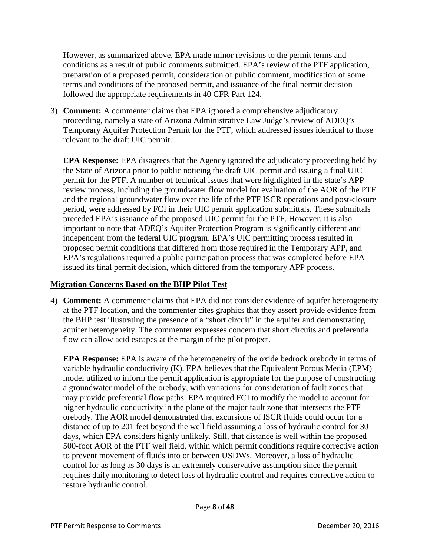However, as summarized above, EPA made minor revisions to the permit terms and conditions as a result of public comments submitted. EPA's review of the PTF application, preparation of a proposed permit, consideration of public comment, modification of some terms and conditions of the proposed permit, and issuance of the final permit decision followed the appropriate requirements in 40 CFR Part 124.

3) **Comment:** A commenter claims that EPA ignored a comprehensive adjudicatory proceeding, namely a state of Arizona Administrative Law Judge's review of ADEQ's Temporary Aquifer Protection Permit for the PTF, which addressed issues identical to those relevant to the draft UIC permit.

**EPA Response:** EPA disagrees that the Agency ignored the adjudicatory proceeding held by the State of Arizona prior to public noticing the draft UIC permit and issuing a final UIC permit for the PTF. A number of technical issues that were highlighted in the state's APP review process, including the groundwater flow model for evaluation of the AOR of the PTF and the regional groundwater flow over the life of the PTF ISCR operations and post-closure period, were addressed by FCI in their UIC permit application submittals. These submittals preceded EPA's issuance of the proposed UIC permit for the PTF. However, it is also important to note that ADEQ's Aquifer Protection Program is significantly different and independent from the federal UIC program. EPA's UIC permitting process resulted in proposed permit conditions that differed from those required in the Temporary APP, and EPA's regulations required a public participation process that was completed before EPA issued its final permit decision, which differed from the temporary APP process.

## **Migration Concerns Based on the BHP Pilot Test**

4) **Comment:** A commenter claims that EPA did not consider evidence of aquifer heterogeneity at the PTF location, and the commenter cites graphics that they assert provide evidence from the BHP test illustrating the presence of a "short circuit" in the aquifer and demonstrating aquifer heterogeneity. The commenter expresses concern that short circuits and preferential flow can allow acid escapes at the margin of the pilot project.

**EPA Response:** EPA is aware of the heterogeneity of the oxide bedrock orebody in terms of variable hydraulic conductivity (K). EPA believes that the Equivalent Porous Media (EPM) model utilized to inform the permit application is appropriate for the purpose of constructing a groundwater model of the orebody, with variations for consideration of fault zones that may provide preferential flow paths. EPA required FCI to modify the model to account for higher hydraulic conductivity in the plane of the major fault zone that intersects the PTF orebody. The AOR model demonstrated that excursions of ISCR fluids could occur for a distance of up to 201 feet beyond the well field assuming a loss of hydraulic control for 30 days, which EPA considers highly unlikely. Still, that distance is well within the proposed 500-foot AOR of the PTF well field, within which permit conditions require corrective action to prevent movement of fluids into or between USDWs. Moreover, a loss of hydraulic control for as long as 30 days is an extremely conservative assumption since the permit requires daily monitoring to detect loss of hydraulic control and requires corrective action to restore hydraulic control.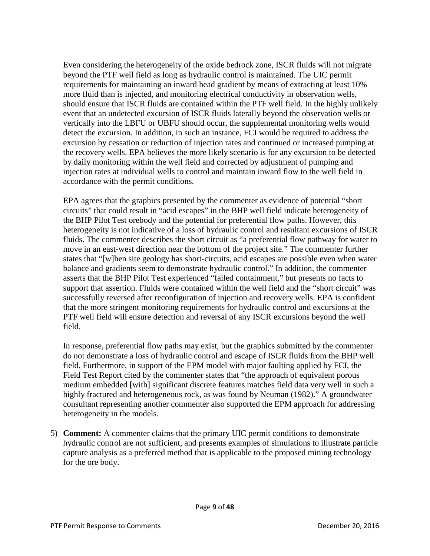Even considering the heterogeneity of the oxide bedrock zone, ISCR fluids will not migrate beyond the PTF well field as long as hydraulic control is maintained. The UIC permit requirements for maintaining an inward head gradient by means of extracting at least 10% more fluid than is injected, and monitoring electrical conductivity in observation wells, should ensure that ISCR fluids are contained within the PTF well field. In the highly unlikely event that an undetected excursion of ISCR fluids laterally beyond the observation wells or vertically into the LBFU or UBFU should occur, the supplemental monitoring wells would detect the excursion. In addition, in such an instance, FCI would be required to address the excursion by cessation or reduction of injection rates and continued or increased pumping at the recovery wells. EPA believes the more likely scenario is for any excursion to be detected by daily monitoring within the well field and corrected by adjustment of pumping and injection rates at individual wells to control and maintain inward flow to the well field in accordance with the permit conditions.

EPA agrees that the graphics presented by the commenter as evidence of potential "short circuits" that could result in "acid escapes" in the BHP well field indicate heterogeneity of the BHP Pilot Test orebody and the potential for preferential flow paths. However, this heterogeneity is not indicative of a loss of hydraulic control and resultant excursions of ISCR fluids. The commenter describes the short circuit as "a preferential flow pathway for water to move in an east-west direction near the bottom of the project site." The commenter further states that "[w]hen site geology has short-circuits, acid escapes are possible even when water balance and gradients seem to demonstrate hydraulic control." In addition, the commenter asserts that the BHP Pilot Test experienced "failed containment," but presents no facts to support that assertion. Fluids were contained within the well field and the "short circuit" was successfully reversed after reconfiguration of injection and recovery wells. EPA is confident that the more stringent monitoring requirements for hydraulic control and excursions at the PTF well field will ensure detection and reversal of any ISCR excursions beyond the well field.

In response, preferential flow paths may exist, but the graphics submitted by the commenter do not demonstrate a loss of hydraulic control and escape of ISCR fluids from the BHP well field. Furthermore, in support of the EPM model with major faulting applied by FCI, the Field Test Report cited by the commenter states that "the approach of equivalent porous medium embedded [with] significant discrete features matches field data very well in such a highly fractured and heterogeneous rock, as was found by Neuman (1982)." A groundwater consultant representing another commenter also supported the EPM approach for addressing heterogeneity in the models.

5) **Comment:** A commenter claims that the primary UIC permit conditions to demonstrate hydraulic control are not sufficient, and presents examples of simulations to illustrate particle capture analysis as a preferred method that is applicable to the proposed mining technology for the ore body.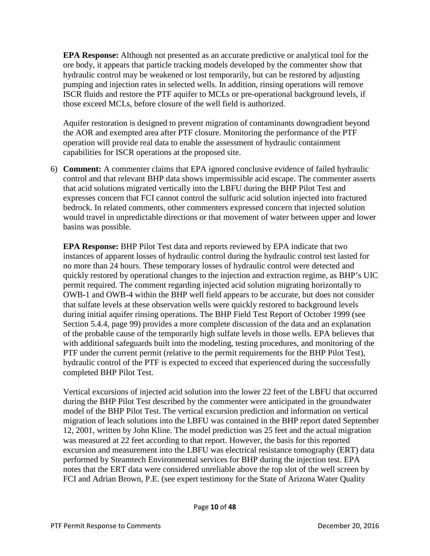**EPA Response:** Although not presented as an accurate predictive or analytical tool for the ore body, it appears that particle tracking models developed by the commenter show that hydraulic control may be weakened or lost temporarily, but can be restored by adjusting pumping and injection rates in selected wells. In addition, rinsing operations will remove ISCR fluids and restore the PTF aquifer to MCLs or pre-operational background levels, if those exceed MCLs, before closure of the well field is authorized.

Aquifer restoration is designed to prevent migration of contaminants downgradient beyond the AOR and exempted area after PTF closure. Monitoring the performance of the PTF operation will provide real data to enable the assessment of hydraulic containment capabilities for ISCR operations at the proposed site.

6) **Comment:** A commenter claims that EPA ignored conclusive evidence of failed hydraulic control and that relevant BHP data shows impermissible acid escape. The commenter asserts that acid solutions migrated vertically into the LBFU during the BHP Pilot Test and expresses concern that FCI cannot control the sulfuric acid solution injected into fractured bedrock. In related comments, other commenters expressed concern that injected solution would travel in unpredictable directions or that movement of water between upper and lower basins was possible.

**EPA Response:** BHP Pilot Test data and reports reviewed by EPA indicate that two instances of apparent losses of hydraulic control during the hydraulic control test lasted for no more than 24 hours. These temporary losses of hydraulic control were detected and quickly restored by operational changes to the injection and extraction regime, as BHP's UIC permit required. The comment regarding injected acid solution migrating horizontally to OWB-1 and OWB-4 within the BHP well field appears to be accurate, but does not consider that sulfate levels at these observation wells were quickly restored to background levels during initial aquifer rinsing operations. The BHP Field Test Report of October 1999 (see Section 5.4.4, page 99) provides a more complete discussion of the data and an explanation of the probable cause of the temporarily high sulfate levels in those wells. EPA believes that with additional safeguards built into the modeling, testing procedures, and monitoring of the PTF under the current permit (relative to the permit requirements for the BHP Pilot Test), hydraulic control of the PTF is expected to exceed that experienced during the successfully completed BHP Pilot Test.

Vertical excursions of injected acid solution into the lower 22 feet of the LBFU that occurred during the BHP Pilot Test described by the commenter were anticipated in the groundwater model of the BHP Pilot Test. The vertical excursion prediction and information on vertical migration of leach solutions into the LBFU was contained in the BHP report dated September 12, 2001, written by John Kline. The model prediction was 25 feet and the actual migration was measured at 22 feet according to that report. However, the basis for this reported excursion and measurement into the LBFU was electrical resistance tomography (ERT) data performed by Steamtech Environmental services for BHP during the injection test. EPA notes that the ERT data were considered unreliable above the top slot of the well screen by FCI and Adrian Brown, P.E. (see expert testimony for the State of Arizona Water Quality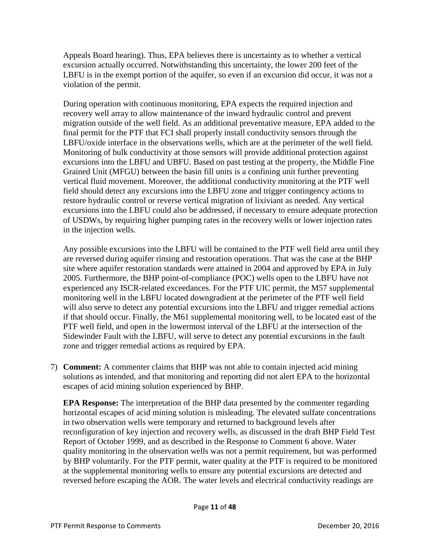Appeals Board hearing). Thus, EPA believes there is uncertainty as to whether a vertical excursion actually occurred. Notwithstanding this uncertainty, the lower 200 feet of the LBFU is in the exempt portion of the aquifer, so even if an excursion did occur, it was not a violation of the permit.

During operation with continuous monitoring, EPA expects the required injection and recovery well array to allow maintenance of the inward hydraulic control and prevent migration outside of the well field. As an additional preventative measure, EPA added to the final permit for the PTF that FCI shall properly install conductivity sensors through the LBFU/oxide interface in the observations wells, which are at the perimeter of the well field. Monitoring of bulk conductivity at those sensors will provide additional protection against excursions into the LBFU and UBFU. Based on past testing at the property, the Middle Fine Grained Unit (MFGU) between the basin fill units is a confining unit further preventing vertical fluid movement. Moreover, the additional conductivity monitoring at the PTF well field should detect any excursions into the LBFU zone and trigger contingency actions to restore hydraulic control or reverse vertical migration of lixiviant as needed. Any vertical excursions into the LBFU could also be addressed, if necessary to ensure adequate protection of USDWs, by requiring higher pumping rates in the recovery wells or lower injection rates in the injection wells.

Any possible excursions into the LBFU will be contained to the PTF well field area until they are reversed during aquifer rinsing and restoration operations. That was the case at the BHP site where aquifer restoration standards were attained in 2004 and approved by EPA in July 2005. Furthermore, the BHP point-of-compliance (POC) wells open to the LBFU have not experienced any ISCR-related exceedances. For the PTF UIC permit, the M57 supplemental monitoring well in the LBFU located downgradient at the perimeter of the PTF well field will also serve to detect any potential excursions into the LBFU and trigger remedial actions if that should occur. Finally, the M61 supplemental monitoring well, to be located east of the PTF well field, and open in the lowermost interval of the LBFU at the intersection of the Sidewinder Fault with the LBFU, will serve to detect any potential excursions in the fault zone and trigger remedial actions as required by EPA.

7) **Comment:** A commenter claims that BHP was not able to contain injected acid mining solutions as intended, and that monitoring and reporting did not alert EPA to the horizontal escapes of acid mining solution experienced by BHP.

**EPA Response:** The interpretation of the BHP data presented by the commenter regarding horizontal escapes of acid mining solution is misleading. The elevated sulfate concentrations in two observation wells were temporary and returned to background levels after reconfiguration of key injection and recovery wells, as discussed in the draft BHP Field Test Report of October 1999, and as described in the Response to Comment 6 above. Water quality monitoring in the observation wells was not a permit requirement, but was performed by BHP voluntarily. For the PTF permit, water quality at the PTF is required to be monitored at the supplemental monitoring wells to ensure any potential excursions are detected and reversed before escaping the AOR. The water levels and electrical conductivity readings are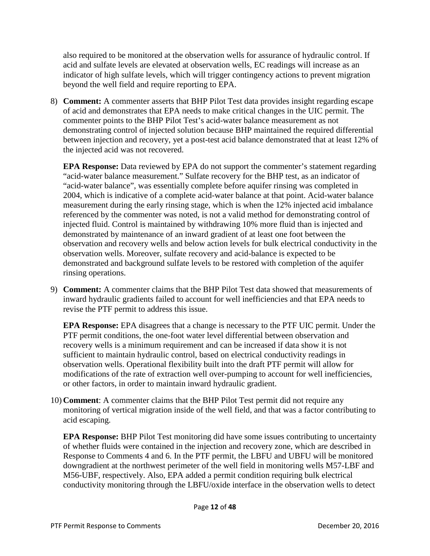also required to be monitored at the observation wells for assurance of hydraulic control. If acid and sulfate levels are elevated at observation wells, EC readings will increase as an indicator of high sulfate levels, which will trigger contingency actions to prevent migration beyond the well field and require reporting to EPA.

8) **Comment:** A commenter asserts that BHP Pilot Test data provides insight regarding escape of acid and demonstrates that EPA needs to make critical changes in the UIC permit. The commenter points to the BHP Pilot Test's acid-water balance measurement as not demonstrating control of injected solution because BHP maintained the required differential between injection and recovery, yet a post-test acid balance demonstrated that at least 12% of the injected acid was not recovered.

**EPA Response:** Data reviewed by EPA do not support the commenter's statement regarding "acid-water balance measurement." Sulfate recovery for the BHP test, as an indicator of "acid-water balance", was essentially complete before aquifer rinsing was completed in 2004, which is indicative of a complete acid-water balance at that point. Acid-water balance measurement during the early rinsing stage, which is when the 12% injected acid imbalance referenced by the commenter was noted, is not a valid method for demonstrating control of injected fluid. Control is maintained by withdrawing 10% more fluid than is injected and demonstrated by maintenance of an inward gradient of at least one foot between the observation and recovery wells and below action levels for bulk electrical conductivity in the observation wells. Moreover, sulfate recovery and acid-balance is expected to be demonstrated and background sulfate levels to be restored with completion of the aquifer rinsing operations.

9) **Comment:** A commenter claims that the BHP Pilot Test data showed that measurements of inward hydraulic gradients failed to account for well inefficiencies and that EPA needs to revise the PTF permit to address this issue.

**EPA Response:** EPA disagrees that a change is necessary to the PTF UIC permit. Under the PTF permit conditions, the one-foot water level differential between observation and recovery wells is a minimum requirement and can be increased if data show it is not sufficient to maintain hydraulic control, based on electrical conductivity readings in observation wells. Operational flexibility built into the draft PTF permit will allow for modifications of the rate of extraction well over-pumping to account for well inefficiencies, or other factors, in order to maintain inward hydraulic gradient.

10) **Comment**: A commenter claims that the BHP Pilot Test permit did not require any monitoring of vertical migration inside of the well field, and that was a factor contributing to acid escaping.

**EPA Response:** BHP Pilot Test monitoring did have some issues contributing to uncertainty of whether fluids were contained in the injection and recovery zone, which are described in Response to Comments 4 and 6. In the PTF permit, the LBFU and UBFU will be monitored downgradient at the northwest perimeter of the well field in monitoring wells M57-LBF and M56-UBF, respectively. Also, EPA added a permit condition requiring bulk electrical conductivity monitoring through the LBFU/oxide interface in the observation wells to detect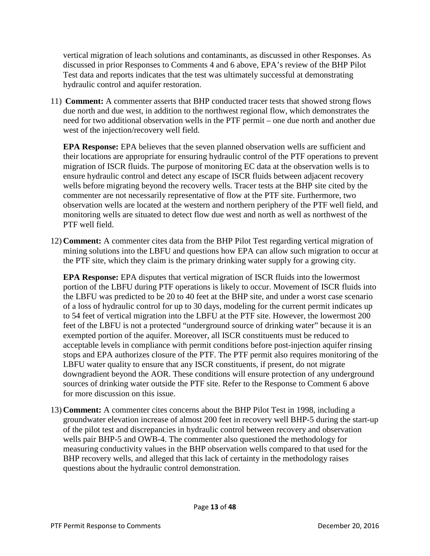vertical migration of leach solutions and contaminants, as discussed in other Responses. As discussed in prior Responses to Comments 4 and 6 above, EPA's review of the BHP Pilot Test data and reports indicates that the test was ultimately successful at demonstrating hydraulic control and aquifer restoration.

11) **Comment:** A commenter asserts that BHP conducted tracer tests that showed strong flows due north and due west, in addition to the northwest regional flow, which demonstrates the need for two additional observation wells in the PTF permit – one due north and another due west of the injection/recovery well field.

**EPA Response:** EPA believes that the seven planned observation wells are sufficient and their locations are appropriate for ensuring hydraulic control of the PTF operations to prevent migration of ISCR fluids. The purpose of monitoring EC data at the observation wells is to ensure hydraulic control and detect any escape of ISCR fluids between adjacent recovery wells before migrating beyond the recovery wells. Tracer tests at the BHP site cited by the commenter are not necessarily representative of flow at the PTF site. Furthermore, two observation wells are located at the western and northern periphery of the PTF well field, and monitoring wells are situated to detect flow due west and north as well as northwest of the PTF well field.

12) **Comment:** A commenter cites data from the BHP Pilot Test regarding vertical migration of mining solutions into the LBFU and questions how EPA can allow such migration to occur at the PTF site, which they claim is the primary drinking water supply for a growing city.

**EPA Response:** EPA disputes that vertical migration of ISCR fluids into the lowermost portion of the LBFU during PTF operations is likely to occur. Movement of ISCR fluids into the LBFU was predicted to be 20 to 40 feet at the BHP site, and under a worst case scenario of a loss of hydraulic control for up to 30 days, modeling for the current permit indicates up to 54 feet of vertical migration into the LBFU at the PTF site. However, the lowermost 200 feet of the LBFU is not a protected "underground source of drinking water" because it is an exempted portion of the aquifer. Moreover, all ISCR constituents must be reduced to acceptable levels in compliance with permit conditions before post-injection aquifer rinsing stops and EPA authorizes closure of the PTF. The PTF permit also requires monitoring of the LBFU water quality to ensure that any ISCR constituents, if present, do not migrate downgradient beyond the AOR. These conditions will ensure protection of any underground sources of drinking water outside the PTF site. Refer to the Response to Comment 6 above for more discussion on this issue.

13) **Comment:** A commenter cites concerns about the BHP Pilot Test in 1998, including a groundwater elevation increase of almost 200 feet in recovery well BHP-5 during the start-up of the pilot test and discrepancies in hydraulic control between recovery and observation wells pair BHP-5 and OWB-4. The commenter also questioned the methodology for measuring conductivity values in the BHP observation wells compared to that used for the BHP recovery wells, and alleged that this lack of certainty in the methodology raises questions about the hydraulic control demonstration.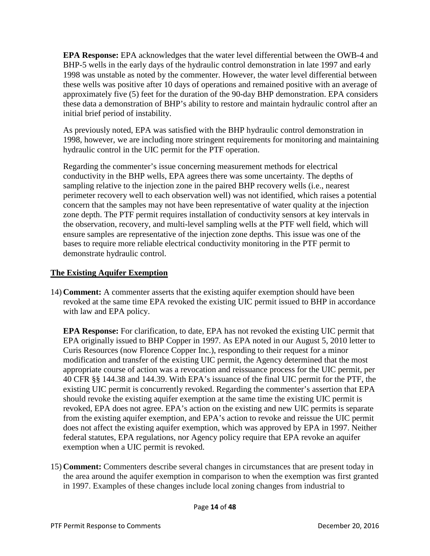**EPA Response:** EPA acknowledges that the water level differential between the OWB-4 and BHP-5 wells in the early days of the hydraulic control demonstration in late 1997 and early 1998 was unstable as noted by the commenter. However, the water level differential between these wells was positive after 10 days of operations and remained positive with an average of approximately five (5) feet for the duration of the 90-day BHP demonstration. EPA considers these data a demonstration of BHP's ability to restore and maintain hydraulic control after an initial brief period of instability.

As previously noted, EPA was satisfied with the BHP hydraulic control demonstration in 1998, however, we are including more stringent requirements for monitoring and maintaining hydraulic control in the UIC permit for the PTF operation.

Regarding the commenter's issue concerning measurement methods for electrical conductivity in the BHP wells, EPA agrees there was some uncertainty. The depths of sampling relative to the injection zone in the paired BHP recovery wells (i.e., nearest perimeter recovery well to each observation well) was not identified, which raises a potential concern that the samples may not have been representative of water quality at the injection zone depth. The PTF permit requires installation of conductivity sensors at key intervals in the observation, recovery, and multi-level sampling wells at the PTF well field, which will ensure samples are representative of the injection zone depths. This issue was one of the bases to require more reliable electrical conductivity monitoring in the PTF permit to demonstrate hydraulic control.

## **The Existing Aquifer Exemption**

14) **Comment:** A commenter asserts that the existing aquifer exemption should have been revoked at the same time EPA revoked the existing UIC permit issued to BHP in accordance with law and EPA policy.

**EPA Response:** For clarification, to date, EPA has not revoked the existing UIC permit that EPA originally issued to BHP Copper in 1997. As EPA noted in our August 5, 2010 letter to Curis Resources (now Florence Copper Inc.), responding to their request for a minor modification and transfer of the existing UIC permit, the Agency determined that the most appropriate course of action was a revocation and reissuance process for the UIC permit, per 40 CFR §§ 144.38 and 144.39. With EPA's issuance of the final UIC permit for the PTF, the existing UIC permit is concurrently revoked. Regarding the commenter's assertion that EPA should revoke the existing aquifer exemption at the same time the existing UIC permit is revoked, EPA does not agree. EPA's action on the existing and new UIC permits is separate from the existing aquifer exemption, and EPA's action to revoke and reissue the UIC permit does not affect the existing aquifer exemption, which was approved by EPA in 1997. Neither federal statutes, EPA regulations, nor Agency policy require that EPA revoke an aquifer exemption when a UIC permit is revoked.

15) **Comment:** Commenters describe several changes in circumstances that are present today in the area around the aquifer exemption in comparison to when the exemption was first granted in 1997. Examples of these changes include local zoning changes from industrial to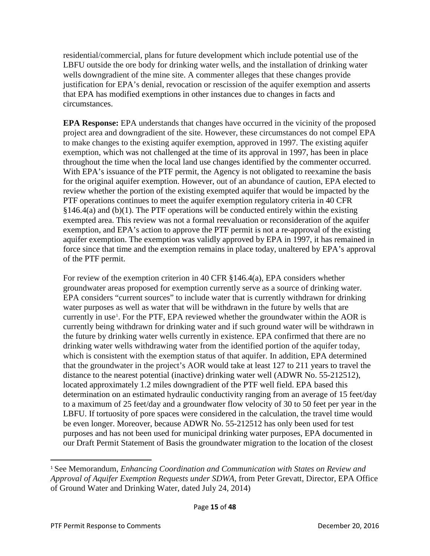residential/commercial, plans for future development which include potential use of the LBFU outside the ore body for drinking water wells, and the installation of drinking water wells downgradient of the mine site. A commenter alleges that these changes provide justification for EPA's denial, revocation or rescission of the aquifer exemption and asserts that EPA has modified exemptions in other instances due to changes in facts and circumstances.

**EPA Response:** EPA understands that changes have occurred in the vicinity of the proposed project area and downgradient of the site. However, these circumstances do not compel EPA to make changes to the existing aquifer exemption, approved in 1997. The existing aquifer exemption, which was not challenged at the time of its approval in 1997, has been in place throughout the time when the local land use changes identified by the commenter occurred. With EPA's issuance of the PTF permit, the Agency is not obligated to reexamine the basis for the original aquifer exemption. However, out of an abundance of caution, EPA elected to review whether the portion of the existing exempted aquifer that would be impacted by the PTF operations continues to meet the aquifer exemption regulatory criteria in 40 CFR  $§146.4(a)$  and (b)(1). The PTF operations will be conducted entirely within the existing exempted area. This review was not a formal reevaluation or reconsideration of the aquifer exemption, and EPA's action to approve the PTF permit is not a re-approval of the existing aquifer exemption. The exemption was validly approved by EPA in 1997, it has remained in force since that time and the exemption remains in place today, unaltered by EPA's approval of the PTF permit.

For review of the exemption criterion in 40 CFR §146.4(a), EPA considers whether groundwater areas proposed for exemption currently serve as a source of drinking water. EPA considers "current sources" to include water that is currently withdrawn for drinking water purposes as well as water that will be withdrawn in the future by wells that are currently in use<sup>[1](#page-14-0)</sup>. For the PTF, EPA reviewed whether the groundwater within the AOR is currently being withdrawn for drinking water and if such ground water will be withdrawn in the future by drinking water wells currently in existence. EPA confirmed that there are no drinking water wells withdrawing water from the identified portion of the aquifer today, which is consistent with the exemption status of that aquifer. In addition, EPA determined that the groundwater in the project's AOR would take at least 127 to 211 years to travel the distance to the nearest potential (inactive) drinking water well (ADWR No. 55-212512), located approximately 1.2 miles downgradient of the PTF well field. EPA based this determination on an estimated hydraulic conductivity ranging from an average of 15 feet/day to a maximum of 25 feet/day and a groundwater flow velocity of 30 to 50 feet per year in the LBFU. If tortuosity of pore spaces were considered in the calculation, the travel time would be even longer. Moreover, because ADWR No. 55-212512 has only been used for test purposes and has not been used for municipal drinking water purposes, EPA documented in our Draft Permit Statement of Basis the groundwater migration to the location of the closest

l

<span id="page-14-0"></span><sup>1</sup> See Memorandum, *Enhancing Coordination and Communication with States on Review and Approval of Aquifer Exemption Requests under SDWA*, from Peter Grevatt, Director, EPA Office of Ground Water and Drinking Water, dated July 24, 2014)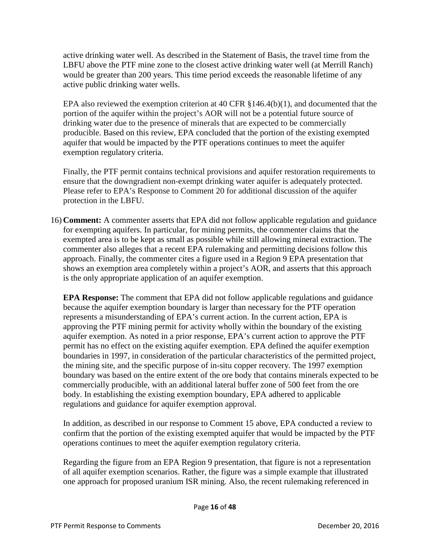active drinking water well. As described in the Statement of Basis, the travel time from the LBFU above the PTF mine zone to the closest active drinking water well (at Merrill Ranch) would be greater than 200 years. This time period exceeds the reasonable lifetime of any active public drinking water wells.

EPA also reviewed the exemption criterion at 40 CFR §146.4(b)(1), and documented that the portion of the aquifer within the project's AOR will not be a potential future source of drinking water due to the presence of minerals that are expected to be commercially producible. Based on this review, EPA concluded that the portion of the existing exempted aquifer that would be impacted by the PTF operations continues to meet the aquifer exemption regulatory criteria.

Finally, the PTF permit contains technical provisions and aquifer restoration requirements to ensure that the downgradient non-exempt drinking water aquifer is adequately protected. Please refer to EPA's Response to Comment 20 for additional discussion of the aquifer protection in the LBFU.

16) **Comment:** A commenter asserts that EPA did not follow applicable regulation and guidance for exempting aquifers. In particular, for mining permits, the commenter claims that the exempted area is to be kept as small as possible while still allowing mineral extraction. The commenter also alleges that a recent EPA rulemaking and permitting decisions follow this approach. Finally, the commenter cites a figure used in a Region 9 EPA presentation that shows an exemption area completely within a project's AOR, and asserts that this approach is the only appropriate application of an aquifer exemption.

**EPA Response:** The comment that EPA did not follow applicable regulations and guidance because the aquifer exemption boundary is larger than necessary for the PTF operation represents a misunderstanding of EPA's current action. In the current action, EPA is approving the PTF mining permit for activity wholly within the boundary of the existing aquifer exemption. As noted in a prior response, EPA's current action to approve the PTF permit has no effect on the existing aquifer exemption. EPA defined the aquifer exemption boundaries in 1997, in consideration of the particular characteristics of the permitted project, the mining site, and the specific purpose of in-situ copper recovery. The 1997 exemption boundary was based on the entire extent of the ore body that contains minerals expected to be commercially producible, with an additional lateral buffer zone of 500 feet from the ore body. In establishing the existing exemption boundary, EPA adhered to applicable regulations and guidance for aquifer exemption approval.

In addition, as described in our response to Comment 15 above, EPA conducted a review to confirm that the portion of the existing exempted aquifer that would be impacted by the PTF operations continues to meet the aquifer exemption regulatory criteria.

Regarding the figure from an EPA Region 9 presentation, that figure is not a representation of all aquifer exemption scenarios. Rather, the figure was a simple example that illustrated one approach for proposed uranium ISR mining. Also, the recent rulemaking referenced in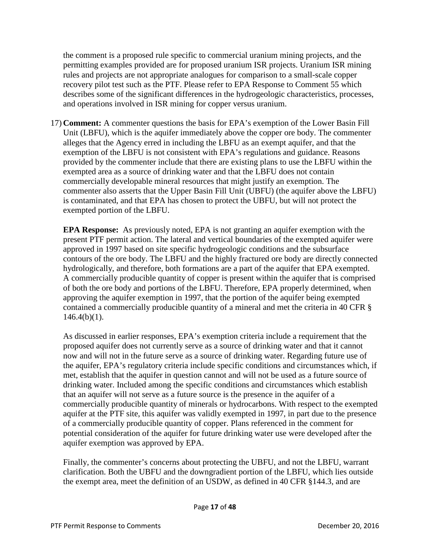the comment is a proposed rule specific to commercial uranium mining projects, and the permitting examples provided are for proposed uranium ISR projects. Uranium ISR mining rules and projects are not appropriate analogues for comparison to a small-scale copper recovery pilot test such as the PTF. Please refer to EPA Response to Comment 55 which describes some of the significant differences in the hydrogeologic characteristics, processes, and operations involved in ISR mining for copper versus uranium.

17) **Comment:** A commenter questions the basis for EPA's exemption of the Lower Basin Fill Unit (LBFU), which is the aquifer immediately above the copper ore body. The commenter alleges that the Agency erred in including the LBFU as an exempt aquifer, and that the exemption of the LBFU is not consistent with EPA's regulations and guidance. Reasons provided by the commenter include that there are existing plans to use the LBFU within the exempted area as a source of drinking water and that the LBFU does not contain commercially developable mineral resources that might justify an exemption. The commenter also asserts that the Upper Basin Fill Unit (UBFU) (the aquifer above the LBFU) is contaminated, and that EPA has chosen to protect the UBFU, but will not protect the exempted portion of the LBFU.

**EPA Response:** As previously noted, EPA is not granting an aquifer exemption with the present PTF permit action. The lateral and vertical boundaries of the exempted aquifer were approved in 1997 based on site specific hydrogeologic conditions and the subsurface contours of the ore body. The LBFU and the highly fractured ore body are directly connected hydrologically, and therefore, both formations are a part of the aquifer that EPA exempted. A commercially producible quantity of copper is present within the aquifer that is comprised of both the ore body and portions of the LBFU. Therefore, EPA properly determined, when approving the aquifer exemption in 1997, that the portion of the aquifer being exempted contained a commercially producible quantity of a mineral and met the criteria in 40 CFR §  $146.4(b)(1)$ .

As discussed in earlier responses, EPA's exemption criteria include a requirement that the proposed aquifer does not currently serve as a source of drinking water and that it cannot now and will not in the future serve as a source of drinking water. Regarding future use of the aquifer, EPA's regulatory criteria include specific conditions and circumstances which, if met, establish that the aquifer in question cannot and will not be used as a future source of drinking water. Included among the specific conditions and circumstances which establish that an aquifer will not serve as a future source is the presence in the aquifer of a commercially producible quantity of minerals or hydrocarbons. With respect to the exempted aquifer at the PTF site, this aquifer was validly exempted in 1997, in part due to the presence of a commercially producible quantity of copper. Plans referenced in the comment for potential consideration of the aquifer for future drinking water use were developed after the aquifer exemption was approved by EPA.

Finally, the commenter's concerns about protecting the UBFU, and not the LBFU, warrant clarification. Both the UBFU and the downgradient portion of the LBFU, which lies outside the exempt area, meet the definition of an USDW, as defined in 40 CFR §144.3, and are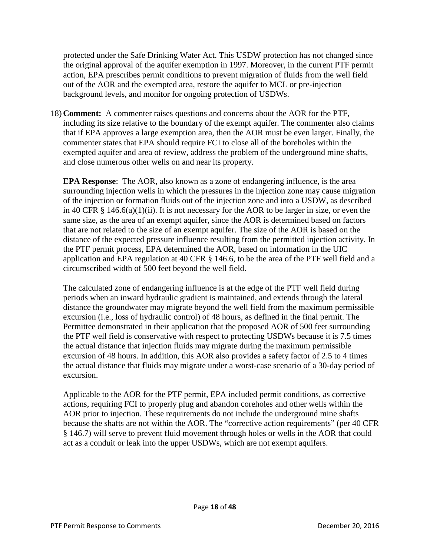protected under the Safe Drinking Water Act. This USDW protection has not changed since the original approval of the aquifer exemption in 1997. Moreover, in the current PTF permit action, EPA prescribes permit conditions to prevent migration of fluids from the well field out of the AOR and the exempted area, restore the aquifer to MCL or pre-injection background levels, and monitor for ongoing protection of USDWs.

18) **Comment:** A commenter raises questions and concerns about the AOR for the PTF, including its size relative to the boundary of the exempt aquifer. The commenter also claims that if EPA approves a large exemption area, then the AOR must be even larger. Finally, the commenter states that EPA should require FCI to close all of the boreholes within the exempted aquifer and area of review, address the problem of the underground mine shafts, and close numerous other wells on and near its property.

**EPA Response**: The AOR, also known as a zone of endangering influence, is the area surrounding injection wells in which the pressures in the injection zone may cause migration of the injection or formation fluids out of the injection zone and into a USDW, as described in 40 CFR § 146.6(a)(1)(ii). It is not necessary for the AOR to be larger in size, or even the same size, as the area of an exempt aquifer, since the AOR is determined based on factors that are not related to the size of an exempt aquifer. The size of the AOR is based on the distance of the expected pressure influence resulting from the permitted injection activity. In the PTF permit process, EPA determined the AOR, based on information in the UIC application and EPA regulation at 40 CFR § 146.6, to be the area of the PTF well field and a circumscribed width of 500 feet beyond the well field.

The calculated zone of endangering influence is at the edge of the PTF well field during periods when an inward hydraulic gradient is maintained, and extends through the lateral distance the groundwater may migrate beyond the well field from the maximum permissible excursion (i.e., loss of hydraulic control) of 48 hours, as defined in the final permit. The Permittee demonstrated in their application that the proposed AOR of 500 feet surrounding the PTF well field is conservative with respect to protecting USDWs because it is 7.5 times the actual distance that injection fluids may migrate during the maximum permissible excursion of 48 hours. In addition, this AOR also provides a safety factor of 2.5 to 4 times the actual distance that fluids may migrate under a worst-case scenario of a 30-day period of excursion.

Applicable to the AOR for the PTF permit, EPA included permit conditions, as corrective actions, requiring FCI to properly plug and abandon coreholes and other wells within the AOR prior to injection. These requirements do not include the underground mine shafts because the shafts are not within the AOR. The "corrective action requirements" (per 40 CFR § 146.7) will serve to prevent fluid movement through holes or wells in the AOR that could act as a conduit or leak into the upper USDWs, which are not exempt aquifers.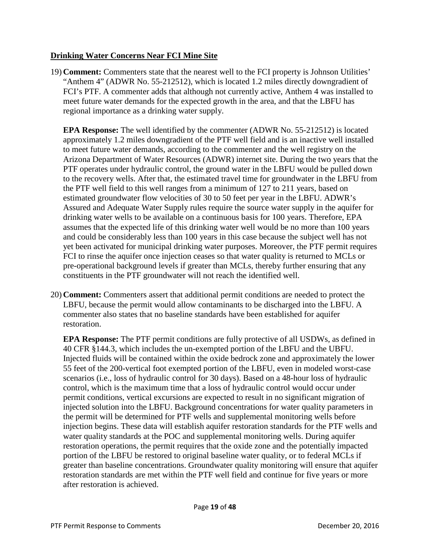#### **Drinking Water Concerns Near FCI Mine Site**

19) **Comment:** Commenters state that the nearest well to the FCI property is Johnson Utilities' "Anthem 4" (ADWR No. 55-212512), which is located 1.2 miles directly downgradient of FCI's PTF. A commenter adds that although not currently active, Anthem 4 was installed to meet future water demands for the expected growth in the area, and that the LBFU has regional importance as a drinking water supply.

**EPA Response:** The well identified by the commenter (ADWR No. 55-212512) is located approximately 1.2 miles downgradient of the PTF well field and is an inactive well installed to meet future water demands, according to the commenter and the well registry on the Arizona Department of Water Resources (ADWR) internet site. During the two years that the PTF operates under hydraulic control, the ground water in the LBFU would be pulled down to the recovery wells. After that, the estimated travel time for groundwater in the LBFU from the PTF well field to this well ranges from a minimum of 127 to 211 years, based on estimated groundwater flow velocities of 30 to 50 feet per year in the LBFU. ADWR's Assured and Adequate Water Supply rules require the source water supply in the aquifer for drinking water wells to be available on a continuous basis for 100 years. Therefore, EPA assumes that the expected life of this drinking water well would be no more than 100 years and could be considerably less than 100 years in this case because the subject well has not yet been activated for municipal drinking water purposes. Moreover, the PTF permit requires FCI to rinse the aquifer once injection ceases so that water quality is returned to MCLs or pre-operational background levels if greater than MCLs, thereby further ensuring that any constituents in the PTF groundwater will not reach the identified well.

20) **Comment:** Commenters assert that additional permit conditions are needed to protect the LBFU, because the permit would allow contaminants to be discharged into the LBFU. A commenter also states that no baseline standards have been established for aquifer restoration.

**EPA Response:** The PTF permit conditions are fully protective of all USDWs, as defined in 40 CFR §144.3, which includes the un-exempted portion of the LBFU and the UBFU. Injected fluids will be contained within the oxide bedrock zone and approximately the lower 55 feet of the 200-vertical foot exempted portion of the LBFU, even in modeled worst-case scenarios (i.e., loss of hydraulic control for 30 days). Based on a 48-hour loss of hydraulic control, which is the maximum time that a loss of hydraulic control would occur under permit conditions, vertical excursions are expected to result in no significant migration of injected solution into the LBFU. Background concentrations for water quality parameters in the permit will be determined for PTF wells and supplemental monitoring wells before injection begins. These data will establish aquifer restoration standards for the PTF wells and water quality standards at the POC and supplemental monitoring wells. During aquifer restoration operations, the permit requires that the oxide zone and the potentially impacted portion of the LBFU be restored to original baseline water quality, or to federal MCLs if greater than baseline concentrations. Groundwater quality monitoring will ensure that aquifer restoration standards are met within the PTF well field and continue for five years or more after restoration is achieved.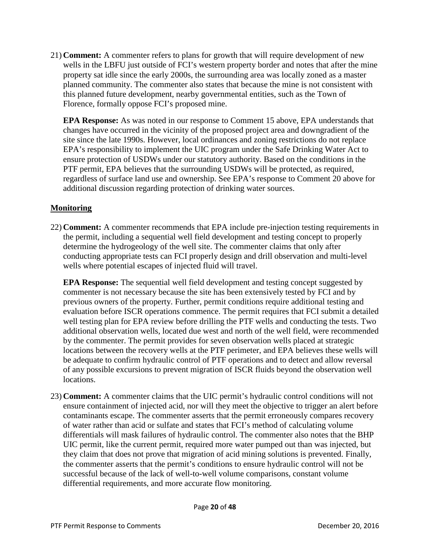21) **Comment:** A commenter refers to plans for growth that will require development of new wells in the LBFU just outside of FCI's western property border and notes that after the mine property sat idle since the early 2000s, the surrounding area was locally zoned as a master planned community. The commenter also states that because the mine is not consistent with this planned future development, nearby governmental entities, such as the Town of Florence, formally oppose FCI's proposed mine.

**EPA Response:** As was noted in our response to Comment 15 above, EPA understands that changes have occurred in the vicinity of the proposed project area and downgradient of the site since the late 1990s. However, local ordinances and zoning restrictions do not replace EPA's responsibility to implement the UIC program under the Safe Drinking Water Act to ensure protection of USDWs under our statutory authority. Based on the conditions in the PTF permit, EPA believes that the surrounding USDWs will be protected, as required, regardless of surface land use and ownership. See EPA's response to Comment 20 above for additional discussion regarding protection of drinking water sources.

## **Monitoring**

22) **Comment:** A commenter recommends that EPA include pre-injection testing requirements in the permit, including a sequential well field development and testing concept to properly determine the hydrogeology of the well site. The commenter claims that only after conducting appropriate tests can FCI properly design and drill observation and multi-level wells where potential escapes of injected fluid will travel.

**EPA Response:** The sequential well field development and testing concept suggested by commenter is not necessary because the site has been extensively tested by FCI and by previous owners of the property. Further, permit conditions require additional testing and evaluation before ISCR operations commence. The permit requires that FCI submit a detailed well testing plan for EPA review before drilling the PTF wells and conducting the tests. Two additional observation wells, located due west and north of the well field, were recommended by the commenter. The permit provides for seven observation wells placed at strategic locations between the recovery wells at the PTF perimeter, and EPA believes these wells will be adequate to confirm hydraulic control of PTF operations and to detect and allow reversal of any possible excursions to prevent migration of ISCR fluids beyond the observation well locations.

23) **Comment:** A commenter claims that the UIC permit's hydraulic control conditions will not ensure containment of injected acid, nor will they meet the objective to trigger an alert before contaminants escape. The commenter asserts that the permit erroneously compares recovery of water rather than acid or sulfate and states that FCI's method of calculating volume differentials will mask failures of hydraulic control. The commenter also notes that the BHP UIC permit, like the current permit, required more water pumped out than was injected, but they claim that does not prove that migration of acid mining solutions is prevented. Finally, the commenter asserts that the permit's conditions to ensure hydraulic control will not be successful because of the lack of well-to-well volume comparisons, constant volume differential requirements, and more accurate flow monitoring.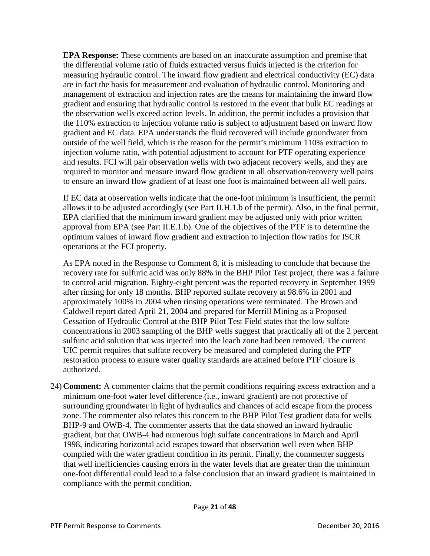**EPA Response:** These comments are based on an inaccurate assumption and premise that the differential volume ratio of fluids extracted versus fluids injected is the criterion for measuring hydraulic control. The inward flow gradient and electrical conductivity (EC) data are in fact the basis for measurement and evaluation of hydraulic control. Monitoring and management of extraction and injection rates are the means for maintaining the inward flow gradient and ensuring that hydraulic control is restored in the event that bulk EC readings at the observation wells exceed action levels. In addition, the permit includes a provision that the 110% extraction to injection volume ratio is subject to adjustment based on inward flow gradient and EC data. EPA understands the fluid recovered will include groundwater from outside of the well field, which is the reason for the permit's minimum 110% extraction to injection volume ratio, with potential adjustment to account for PTF operating experience and results. FCI will pair observation wells with two adjacent recovery wells, and they are required to monitor and measure inward flow gradient in all observation/recovery well pairs to ensure an inward flow gradient of at least one foot is maintained between all well pairs.

If EC data at observation wells indicate that the one-foot minimum is insufficient, the permit allows it to be adjusted accordingly (see Part II.H.1.b of the permit). Also, in the final permit, EPA clarified that the minimum inward gradient may be adjusted only with prior written approval from EPA (see Part II.E.1.b). One of the objectives of the PTF is to determine the optimum values of inward flow gradient and extraction to injection flow ratios for ISCR operations at the FCI property.

As EPA noted in the Response to Comment 8, it is misleading to conclude that because the recovery rate for sulfuric acid was only 88% in the BHP Pilot Test project, there was a failure to control acid migration. Eighty-eight percent was the reported recovery in September 1999 after rinsing for only 18 months. BHP reported sulfate recovery at 98.6% in 2001 and approximately 100% in 2004 when rinsing operations were terminated. The Brown and Caldwell report dated April 21, 2004 and prepared for Merrill Mining as a Proposed Cessation of Hydraulic Control at the BHP Pilot Test Field states that the low sulfate concentrations in 2003 sampling of the BHP wells suggest that practically all of the 2 percent sulfuric acid solution that was injected into the leach zone had been removed. The current UIC permit requires that sulfate recovery be measured and completed during the PTF restoration process to ensure water quality standards are attained before PTF closure is authorized.

24) **Comment:** A commenter claims that the permit conditions requiring excess extraction and a minimum one-foot water level difference (i.e., inward gradient) are not protective of surrounding groundwater in light of hydraulics and chances of acid escape from the process zone. The commenter also relates this concern to the BHP Pilot Test gradient data for wells BHP-9 and OWB-4. The commenter asserts that the data showed an inward hydraulic gradient, but that OWB-4 had numerous high sulfate concentrations in March and April 1998, indicating horizontal acid escapes toward that observation well even when BHP complied with the water gradient condition in its permit. Finally, the commenter suggests that well inefficiencies causing errors in the water levels that are greater than the minimum one-foot differential could lead to a false conclusion that an inward gradient is maintained in compliance with the permit condition.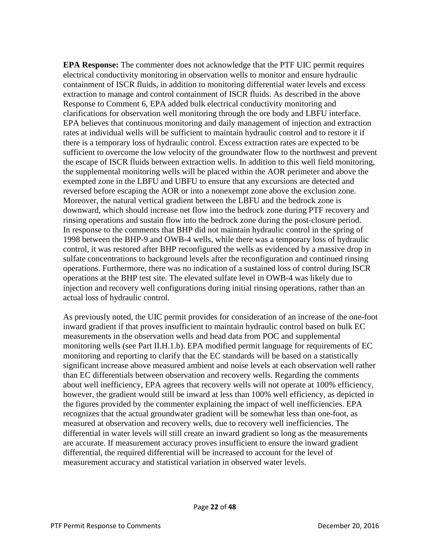**EPA Response:** The commenter does not acknowledge that the PTF UIC permit requires electrical conductivity monitoring in observation wells to monitor and ensure hydraulic containment of ISCR fluids, in addition to monitoring differential water levels and excess extraction to manage and control containment of ISCR fluids. As described in the above Response to Comment 6, EPA added bulk electrical conductivity monitoring and clarifications for observation well monitoring through the ore body and LBFU interface. EPA believes that continuous monitoring and daily management of injection and extraction rates at individual wells will be sufficient to maintain hydraulic control and to restore it if there is a temporary loss of hydraulic control. Excess extraction rates are expected to be sufficient to overcome the low velocity of the groundwater flow to the northwest and prevent the escape of ISCR fluids between extraction wells. In addition to this well field monitoring, the supplemental monitoring wells will be placed within the AOR perimeter and above the exempted zone in the LBFU and UBFU to ensure that any excursions are detected and reversed before escaping the AOR or into a nonexempt zone above the exclusion zone. Moreover, the natural vertical gradient between the LBFU and the bedrock zone is downward, which should increase net flow into the bedrock zone during PTF recovery and rinsing operations and sustain flow into the bedrock zone during the post-closure period. In response to the comments that BHP did not maintain hydraulic control in the spring of 1998 between the BHP-9 and OWB-4 wells, while there was a temporary loss of hydraulic control, it was restored after BHP reconfigured the wells as evidenced by a massive drop in sulfate concentrations to background levels after the reconfiguration and continued rinsing operations. Furthermore, there was no indication of a sustained loss of control during ISCR operations at the BHP test site. The elevated sulfate level in OWB-4 was likely due to injection and recovery well configurations during initial rinsing operations, rather than an actual loss of hydraulic control.

As previously noted, the UIC permit provides for consideration of an increase of the one-foot inward gradient if that proves insufficient to maintain hydraulic control based on bulk EC measurements in the observation wells and head data from POC and supplemental monitoring wells (see Part II.H.1.b). EPA modified permit language for requirements of EC monitoring and reporting to clarify that the EC standards will be based on a statistically significant increase above measured ambient and noise levels at each observation well rather than EC differentials between observation and recovery wells. Regarding the comments about well inefficiency, EPA agrees that recovery wells will not operate at 100% efficiency, however, the gradient would still be inward at less than 100% well efficiency, as depicted in the figures provided by the commenter explaining the impact of well inefficiencies. EPA recognizes that the actual groundwater gradient will be somewhat less than one-foot, as measured at observation and recovery wells, due to recovery well inefficiencies. The differential in water levels will still create an inward gradient so long as the measurements are accurate. If measurement accuracy proves insufficient to ensure the inward gradient differential, the required differential will be increased to account for the level of measurement accuracy and statistical variation in observed water levels.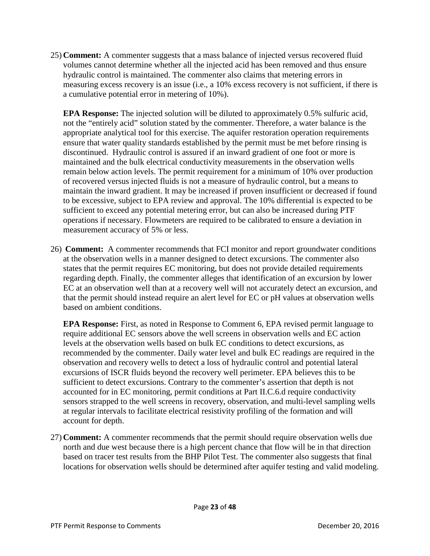25) **Comment:** A commenter suggests that a mass balance of injected versus recovered fluid volumes cannot determine whether all the injected acid has been removed and thus ensure hydraulic control is maintained. The commenter also claims that metering errors in measuring excess recovery is an issue (i.e., a 10% excess recovery is not sufficient, if there is a cumulative potential error in metering of 10%).

**EPA Response:** The injected solution will be diluted to approximately 0.5% sulfuric acid, not the "entirely acid" solution stated by the commenter. Therefore, a water balance is the appropriate analytical tool for this exercise. The aquifer restoration operation requirements ensure that water quality standards established by the permit must be met before rinsing is discontinued. Hydraulic control is assured if an inward gradient of one foot or more is maintained and the bulk electrical conductivity measurements in the observation wells remain below action levels. The permit requirement for a minimum of 10% over production of recovered versus injected fluids is not a measure of hydraulic control, but a means to maintain the inward gradient. It may be increased if proven insufficient or decreased if found to be excessive, subject to EPA review and approval. The 10% differential is expected to be sufficient to exceed any potential metering error, but can also be increased during PTF operations if necessary. Flowmeters are required to be calibrated to ensure a deviation in measurement accuracy of 5% or less.

26) **Comment:** A commenter recommends that FCI monitor and report groundwater conditions at the observation wells in a manner designed to detect excursions. The commenter also states that the permit requires EC monitoring, but does not provide detailed requirements regarding depth. Finally, the commenter alleges that identification of an excursion by lower EC at an observation well than at a recovery well will not accurately detect an excursion, and that the permit should instead require an alert level for EC or pH values at observation wells based on ambient conditions.

**EPA Response:** First, as noted in Response to Comment 6, EPA revised permit language to require additional EC sensors above the well screens in observation wells and EC action levels at the observation wells based on bulk EC conditions to detect excursions, as recommended by the commenter. Daily water level and bulk EC readings are required in the observation and recovery wells to detect a loss of hydraulic control and potential lateral excursions of ISCR fluids beyond the recovery well perimeter. EPA believes this to be sufficient to detect excursions. Contrary to the commenter's assertion that depth is not accounted for in EC monitoring, permit conditions at Part II.C.6.d require conductivity sensors strapped to the well screens in recovery, observation, and multi-level sampling wells at regular intervals to facilitate electrical resistivity profiling of the formation and will account for depth.

27) **Comment:** A commenter recommends that the permit should require observation wells due north and due west because there is a high percent chance that flow will be in that direction based on tracer test results from the BHP Pilot Test. The commenter also suggests that final locations for observation wells should be determined after aquifer testing and valid modeling.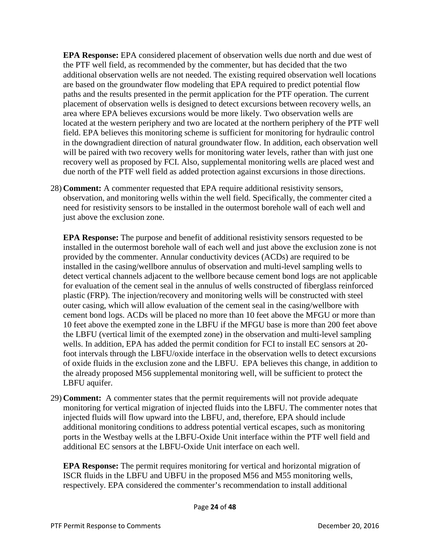**EPA Response:** EPA considered placement of observation wells due north and due west of the PTF well field, as recommended by the commenter, but has decided that the two additional observation wells are not needed. The existing required observation well locations are based on the groundwater flow modeling that EPA required to predict potential flow paths and the results presented in the permit application for the PTF operation. The current placement of observation wells is designed to detect excursions between recovery wells, an area where EPA believes excursions would be more likely. Two observation wells are located at the western periphery and two are located at the northern periphery of the PTF well field. EPA believes this monitoring scheme is sufficient for monitoring for hydraulic control in the downgradient direction of natural groundwater flow. In addition, each observation well will be paired with two recovery wells for monitoring water levels, rather than with just one recovery well as proposed by FCI. Also, supplemental monitoring wells are placed west and due north of the PTF well field as added protection against excursions in those directions.

28) **Comment:** A commenter requested that EPA require additional resistivity sensors, observation, and monitoring wells within the well field. Specifically, the commenter cited a need for resistivity sensors to be installed in the outermost borehole wall of each well and just above the exclusion zone.

**EPA Response:** The purpose and benefit of additional resistivity sensors requested to be installed in the outermost borehole wall of each well and just above the exclusion zone is not provided by the commenter. Annular conductivity devices (ACDs) are required to be installed in the casing/wellbore annulus of observation and multi-level sampling wells to detect vertical channels adjacent to the wellbore because cement bond logs are not applicable for evaluation of the cement seal in the annulus of wells constructed of fiberglass reinforced plastic (FRP). The injection/recovery and monitoring wells will be constructed with steel outer casing, which will allow evaluation of the cement seal in the casing/wellbore with cement bond logs. ACDs will be placed no more than 10 feet above the MFGU or more than 10 feet above the exempted zone in the LBFU if the MFGU base is more than 200 feet above the LBFU (vertical limit of the exempted zone) in the observation and multi-level sampling wells. In addition, EPA has added the permit condition for FCI to install EC sensors at 20 foot intervals through the LBFU/oxide interface in the observation wells to detect excursions of oxide fluids in the exclusion zone and the LBFU. EPA believes this change, in addition to the already proposed M56 supplemental monitoring well, will be sufficient to protect the LBFU aquifer.

29) **Comment:** A commenter states that the permit requirements will not provide adequate monitoring for vertical migration of injected fluids into the LBFU. The commenter notes that injected fluids will flow upward into the LBFU, and, therefore, EPA should include additional monitoring conditions to address potential vertical escapes, such as monitoring ports in the Westbay wells at the LBFU-Oxide Unit interface within the PTF well field and additional EC sensors at the LBFU-Oxide Unit interface on each well.

**EPA Response:** The permit requires monitoring for vertical and horizontal migration of ISCR fluids in the LBFU and UBFU in the proposed M56 and M55 monitoring wells, respectively. EPA considered the commenter's recommendation to install additional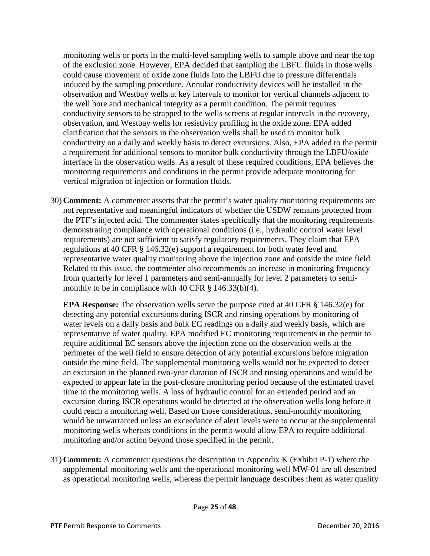monitoring wells or ports in the multi-level sampling wells to sample above and near the top of the exclusion zone. However, EPA decided that sampling the LBFU fluids in those wells could cause movement of oxide zone fluids into the LBFU due to pressure differentials induced by the sampling procedure. Annular conductivity devices will be installed in the observation and Westbay wells at key intervals to monitor for vertical channels adjacent to the well bore and mechanical integrity as a permit condition. The permit requires conductivity sensors to be strapped to the wells screens at regular intervals in the recovery, observation, and Westbay wells for resistivity profiling in the oxide zone. EPA added clarification that the sensors in the observation wells shall be used to monitor bulk conductivity on a daily and weekly basis to detect excursions. Also, EPA added to the permit a requirement for additional sensors to monitor bulk conductivity through the LBFU/oxide interface in the observation wells. As a result of these required conditions, EPA believes the monitoring requirements and conditions in the permit provide adequate monitoring for vertical migration of injection or formation fluids.

30) **Comment:** A commenter asserts that the permit's water quality monitoring requirements are not representative and meaningful indicators of whether the USDW remains protected from the PTF's injected acid. The commenter states specifically that the monitoring requirements demonstrating compliance with operational conditions (i.e., hydraulic control water level requirements) are not sufficient to satisfy regulatory requirements. They claim that EPA regulations at 40 CFR § 146.32(e) support a requirement for both water level and representative water quality monitoring above the injection zone and outside the mine field. Related to this issue, the commenter also recommends an increase in monitoring frequency from quarterly for level 1 parameters and semi-annually for level 2 parameters to semimonthly to be in compliance with 40 CFR  $\S$  146.33(b)(4).

**EPA Response:** The observation wells serve the purpose cited at 40 CFR § 146.32(e) for detecting any potential excursions during ISCR and rinsing operations by monitoring of water levels on a daily basis and bulk EC readings on a daily and weekly basis, which are representative of water quality. EPA modified EC monitoring requirements in the permit to require additional EC sensors above the injection zone on the observation wells at the perimeter of the well field to ensure detection of any potential excursions before migration outside the mine field. The supplemental monitoring wells would not be expected to detect an excursion in the planned two-year duration of ISCR and rinsing operations and would be expected to appear late in the post-closure monitoring period because of the estimated travel time to the monitoring wells. A loss of hydraulic control for an extended period and an excursion during ISCR operations would be detected at the observation wells long before it could reach a monitoring well. Based on those considerations, semi-monthly monitoring would be unwarranted unless an exceedance of alert levels were to occur at the supplemental monitoring wells whereas conditions in the permit would allow EPA to require additional monitoring and/or action beyond those specified in the permit.

31) **Comment:** A commenter questions the description in Appendix K (Exhibit P-1) where the supplemental monitoring wells and the operational monitoring well MW-01 are all described as operational monitoring wells, whereas the permit language describes them as water quality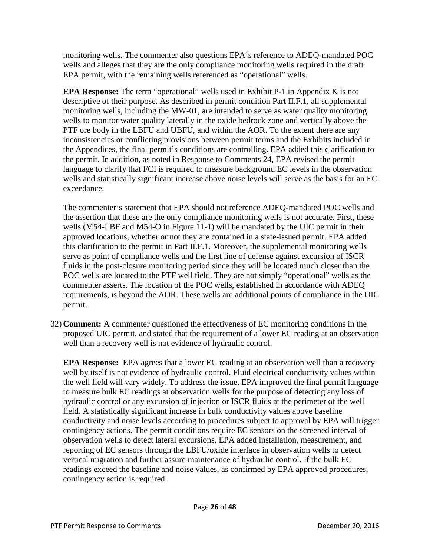monitoring wells. The commenter also questions EPA's reference to ADEQ-mandated POC wells and alleges that they are the only compliance monitoring wells required in the draft EPA permit, with the remaining wells referenced as "operational" wells.

**EPA Response:** The term "operational" wells used in Exhibit P-1 in Appendix K is not descriptive of their purpose. As described in permit condition Part II.F.1, all supplemental monitoring wells, including the MW-01, are intended to serve as water quality monitoring wells to monitor water quality laterally in the oxide bedrock zone and vertically above the PTF ore body in the LBFU and UBFU, and within the AOR. To the extent there are any inconsistencies or conflicting provisions between permit terms and the Exhibits included in the Appendices, the final permit's conditions are controlling. EPA added this clarification to the permit. In addition, as noted in Response to Comments 24, EPA revised the permit language to clarify that FCI is required to measure background EC levels in the observation wells and statistically significant increase above noise levels will serve as the basis for an EC exceedance.

The commenter's statement that EPA should not reference ADEQ-mandated POC wells and the assertion that these are the only compliance monitoring wells is not accurate. First, these wells (M54-LBF and M54-O in Figure 11-1) will be mandated by the UIC permit in their approved locations, whether or not they are contained in a state-issued permit. EPA added this clarification to the permit in Part II.F.1. Moreover, the supplemental monitoring wells serve as point of compliance wells and the first line of defense against excursion of ISCR fluids in the post-closure monitoring period since they will be located much closer than the POC wells are located to the PTF well field. They are not simply "operational" wells as the commenter asserts. The location of the POC wells, established in accordance with ADEQ requirements, is beyond the AOR. These wells are additional points of compliance in the UIC permit.

32) **Comment:** A commenter questioned the effectiveness of EC monitoring conditions in the proposed UIC permit, and stated that the requirement of a lower EC reading at an observation well than a recovery well is not evidence of hydraulic control.

**EPA Response:** EPA agrees that a lower EC reading at an observation well than a recovery well by itself is not evidence of hydraulic control. Fluid electrical conductivity values within the well field will vary widely. To address the issue, EPA improved the final permit language to measure bulk EC readings at observation wells for the purpose of detecting any loss of hydraulic control or any excursion of injection or ISCR fluids at the perimeter of the well field. A statistically significant increase in bulk conductivity values above baseline conductivity and noise levels according to procedures subject to approval by EPA will trigger contingency actions. The permit conditions require EC sensors on the screened interval of observation wells to detect lateral excursions. EPA added installation, measurement, and reporting of EC sensors through the LBFU/oxide interface in observation wells to detect vertical migration and further assure maintenance of hydraulic control. If the bulk EC readings exceed the baseline and noise values, as confirmed by EPA approved procedures, contingency action is required.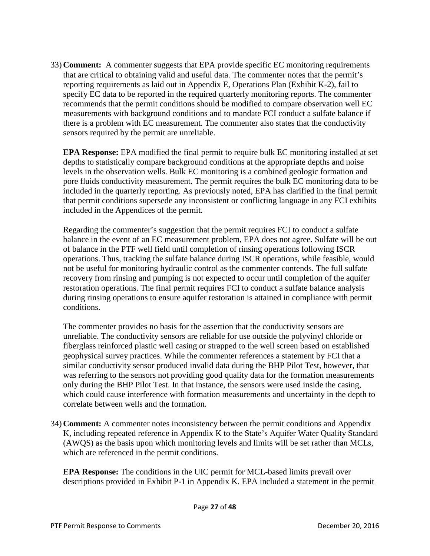33) **Comment:** A commenter suggests that EPA provide specific EC monitoring requirements that are critical to obtaining valid and useful data. The commenter notes that the permit's reporting requirements as laid out in Appendix E, Operations Plan (Exhibit K-2), fail to specify EC data to be reported in the required quarterly monitoring reports. The commenter recommends that the permit conditions should be modified to compare observation well EC measurements with background conditions and to mandate FCI conduct a sulfate balance if there is a problem with EC measurement. The commenter also states that the conductivity sensors required by the permit are unreliable.

**EPA Response:** EPA modified the final permit to require bulk EC monitoring installed at set depths to statistically compare background conditions at the appropriate depths and noise levels in the observation wells. Bulk EC monitoring is a combined geologic formation and pore fluids conductivity measurement. The permit requires the bulk EC monitoring data to be included in the quarterly reporting. As previously noted, EPA has clarified in the final permit that permit conditions supersede any inconsistent or conflicting language in any FCI exhibits included in the Appendices of the permit.

Regarding the commenter's suggestion that the permit requires FCI to conduct a sulfate balance in the event of an EC measurement problem, EPA does not agree. Sulfate will be out of balance in the PTF well field until completion of rinsing operations following ISCR operations. Thus, tracking the sulfate balance during ISCR operations, while feasible, would not be useful for monitoring hydraulic control as the commenter contends. The full sulfate recovery from rinsing and pumping is not expected to occur until completion of the aquifer restoration operations. The final permit requires FCI to conduct a sulfate balance analysis during rinsing operations to ensure aquifer restoration is attained in compliance with permit conditions.

The commenter provides no basis for the assertion that the conductivity sensors are unreliable. The conductivity sensors are reliable for use outside the polyvinyl chloride or fiberglass reinforced plastic well casing or strapped to the well screen based on established geophysical survey practices. While the commenter references a statement by FCI that a similar conductivity sensor produced invalid data during the BHP Pilot Test, however, that was referring to the sensors not providing good quality data for the formation measurements only during the BHP Pilot Test. In that instance, the sensors were used inside the casing, which could cause interference with formation measurements and uncertainty in the depth to correlate between wells and the formation.

34) **Comment:** A commenter notes inconsistency between the permit conditions and Appendix K, including repeated reference in Appendix K to the State's Aquifer Water Quality Standard (AWQS) as the basis upon which monitoring levels and limits will be set rather than MCLs, which are referenced in the permit conditions.

**EPA Response:** The conditions in the UIC permit for MCL-based limits prevail over descriptions provided in Exhibit P-1 in Appendix K. EPA included a statement in the permit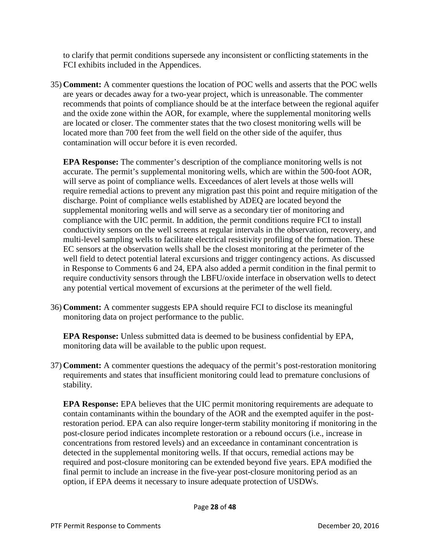to clarify that permit conditions supersede any inconsistent or conflicting statements in the FCI exhibits included in the Appendices.

35) **Comment:** A commenter questions the location of POC wells and asserts that the POC wells are years or decades away for a two-year project, which is unreasonable. The commenter recommends that points of compliance should be at the interface between the regional aquifer and the oxide zone within the AOR, for example, where the supplemental monitoring wells are located or closer. The commenter states that the two closest monitoring wells will be located more than 700 feet from the well field on the other side of the aquifer, thus contamination will occur before it is even recorded.

**EPA Response:** The commenter's description of the compliance monitoring wells is not accurate. The permit's supplemental monitoring wells, which are within the 500-foot AOR, will serve as point of compliance wells. Exceedances of alert levels at those wells will require remedial actions to prevent any migration past this point and require mitigation of the discharge. Point of compliance wells established by ADEQ are located beyond the supplemental monitoring wells and will serve as a secondary tier of monitoring and compliance with the UIC permit. In addition, the permit conditions require FCI to install conductivity sensors on the well screens at regular intervals in the observation, recovery, and multi-level sampling wells to facilitate electrical resistivity profiling of the formation. These EC sensors at the observation wells shall be the closest monitoring at the perimeter of the well field to detect potential lateral excursions and trigger contingency actions. As discussed in Response to Comments 6 and 24, EPA also added a permit condition in the final permit to require conductivity sensors through the LBFU/oxide interface in observation wells to detect any potential vertical movement of excursions at the perimeter of the well field.

36) **Comment:** A commenter suggests EPA should require FCI to disclose its meaningful monitoring data on project performance to the public.

**EPA Response:** Unless submitted data is deemed to be business confidential by EPA, monitoring data will be available to the public upon request.

37) **Comment:** A commenter questions the adequacy of the permit's post-restoration monitoring requirements and states that insufficient monitoring could lead to premature conclusions of stability.

**EPA Response:** EPA believes that the UIC permit monitoring requirements are adequate to contain contaminants within the boundary of the AOR and the exempted aquifer in the postrestoration period. EPA can also require longer-term stability monitoring if monitoring in the post-closure period indicates incomplete restoration or a rebound occurs (i.e., increase in concentrations from restored levels) and an exceedance in contaminant concentration is detected in the supplemental monitoring wells. If that occurs, remedial actions may be required and post-closure monitoring can be extended beyond five years. EPA modified the final permit to include an increase in the five-year post-closure monitoring period as an option, if EPA deems it necessary to insure adequate protection of USDWs.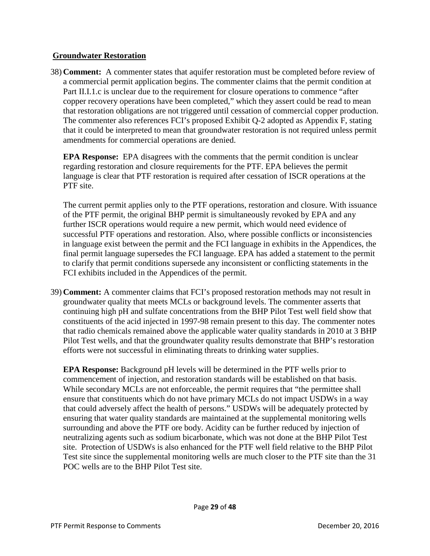#### **Groundwater Restoration**

38) **Comment:** A commenter states that aquifer restoration must be completed before review of a commercial permit application begins. The commenter claims that the permit condition at Part II.I.1.c is unclear due to the requirement for closure operations to commence "after copper recovery operations have been completed," which they assert could be read to mean that restoration obligations are not triggered until cessation of commercial copper production. The commenter also references FCI's proposed Exhibit Q-2 adopted as Appendix F, stating that it could be interpreted to mean that groundwater restoration is not required unless permit amendments for commercial operations are denied.

**EPA Response:** EPA disagrees with the comments that the permit condition is unclear regarding restoration and closure requirements for the PTF. EPA believes the permit language is clear that PTF restoration is required after cessation of ISCR operations at the PTF site.

The current permit applies only to the PTF operations, restoration and closure. With issuance of the PTF permit, the original BHP permit is simultaneously revoked by EPA and any further ISCR operations would require a new permit, which would need evidence of successful PTF operations and restoration. Also, where possible conflicts or inconsistencies in language exist between the permit and the FCI language in exhibits in the Appendices, the final permit language supersedes the FCI language. EPA has added a statement to the permit to clarify that permit conditions supersede any inconsistent or conflicting statements in the FCI exhibits included in the Appendices of the permit.

39) **Comment:** A commenter claims that FCI's proposed restoration methods may not result in groundwater quality that meets MCLs or background levels. The commenter asserts that continuing high pH and sulfate concentrations from the BHP Pilot Test well field show that constituents of the acid injected in 1997-98 remain present to this day. The commenter notes that radio chemicals remained above the applicable water quality standards in 2010 at 3 BHP Pilot Test wells, and that the groundwater quality results demonstrate that BHP's restoration efforts were not successful in eliminating threats to drinking water supplies.

**EPA Response:** Background pH levels will be determined in the PTF wells prior to commencement of injection, and restoration standards will be established on that basis. While secondary MCLs are not enforceable, the permit requires that "the permittee shall ensure that constituents which do not have primary MCLs do not impact USDWs in a way that could adversely affect the health of persons." USDWs will be adequately protected by ensuring that water quality standards are maintained at the supplemental monitoring wells surrounding and above the PTF ore body. Acidity can be further reduced by injection of neutralizing agents such as sodium bicarbonate, which was not done at the BHP Pilot Test site. Protection of USDWs is also enhanced for the PTF well field relative to the BHP Pilot Test site since the supplemental monitoring wells are much closer to the PTF site than the 31 POC wells are to the BHP Pilot Test site.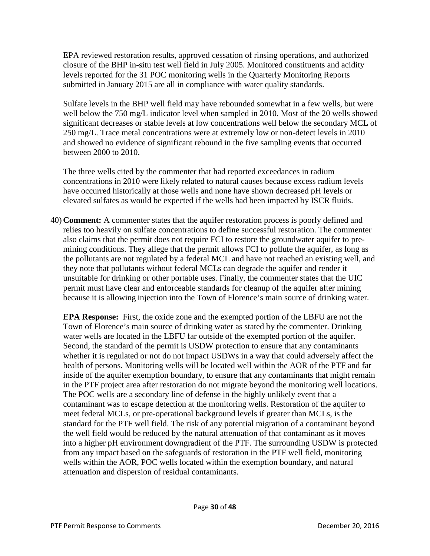EPA reviewed restoration results, approved cessation of rinsing operations, and authorized closure of the BHP in-situ test well field in July 2005. Monitored constituents and acidity levels reported for the 31 POC monitoring wells in the Quarterly Monitoring Reports submitted in January 2015 are all in compliance with water quality standards.

Sulfate levels in the BHP well field may have rebounded somewhat in a few wells, but were well below the 750 mg/L indicator level when sampled in 2010. Most of the 20 wells showed significant decreases or stable levels at low concentrations well below the secondary MCL of 250 mg/L. Trace metal concentrations were at extremely low or non-detect levels in 2010 and showed no evidence of significant rebound in the five sampling events that occurred between 2000 to 2010.

The three wells cited by the commenter that had reported exceedances in radium concentrations in 2010 were likely related to natural causes because excess radium levels have occurred historically at those wells and none have shown decreased pH levels or elevated sulfates as would be expected if the wells had been impacted by ISCR fluids.

40) **Comment:** A commenter states that the aquifer restoration process is poorly defined and relies too heavily on sulfate concentrations to define successful restoration. The commenter also claims that the permit does not require FCI to restore the groundwater aquifer to premining conditions. They allege that the permit allows FCI to pollute the aquifer, as long as the pollutants are not regulated by a federal MCL and have not reached an existing well, and they note that pollutants without federal MCLs can degrade the aquifer and render it unsuitable for drinking or other portable uses. Finally, the commenter states that the UIC permit must have clear and enforceable standards for cleanup of the aquifer after mining because it is allowing injection into the Town of Florence's main source of drinking water.

**EPA Response:** First, the oxide zone and the exempted portion of the LBFU are not the Town of Florence's main source of drinking water as stated by the commenter. Drinking water wells are located in the LBFU far outside of the exempted portion of the aquifer. Second, the standard of the permit is USDW protection to ensure that any contaminants whether it is regulated or not do not impact USDWs in a way that could adversely affect the health of persons. Monitoring wells will be located well within the AOR of the PTF and far inside of the aquifer exemption boundary, to ensure that any contaminants that might remain in the PTF project area after restoration do not migrate beyond the monitoring well locations. The POC wells are a secondary line of defense in the highly unlikely event that a contaminant was to escape detection at the monitoring wells. Restoration of the aquifer to meet federal MCLs, or pre-operational background levels if greater than MCLs, is the standard for the PTF well field. The risk of any potential migration of a contaminant beyond the well field would be reduced by the natural attenuation of that contaminant as it moves into a higher pH environment downgradient of the PTF. The surrounding USDW is protected from any impact based on the safeguards of restoration in the PTF well field, monitoring wells within the AOR, POC wells located within the exemption boundary, and natural attenuation and dispersion of residual contaminants.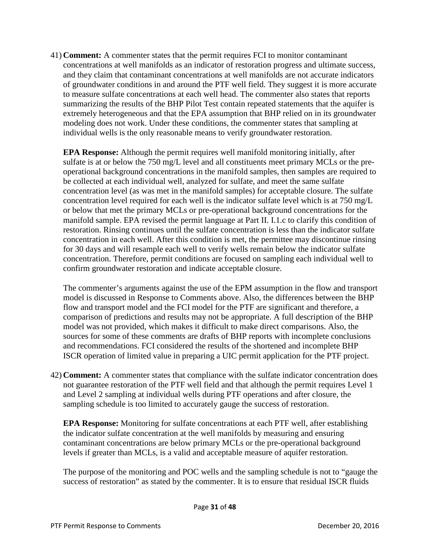41) **Comment:** A commenter states that the permit requires FCI to monitor contaminant concentrations at well manifolds as an indicator of restoration progress and ultimate success, and they claim that contaminant concentrations at well manifolds are not accurate indicators of groundwater conditions in and around the PTF well field. They suggest it is more accurate to measure sulfate concentrations at each well head. The commenter also states that reports summarizing the results of the BHP Pilot Test contain repeated statements that the aquifer is extremely heterogeneous and that the EPA assumption that BHP relied on in its groundwater modeling does not work. Under these conditions, the commenter states that sampling at individual wells is the only reasonable means to verify groundwater restoration.

**EPA Response:** Although the permit requires well manifold monitoring initially, after sulfate is at or below the 750 mg/L level and all constituents meet primary MCLs or the preoperational background concentrations in the manifold samples, then samples are required to be collected at each individual well, analyzed for sulfate, and meet the same sulfate concentration level (as was met in the manifold samples) for acceptable closure. The sulfate concentration level required for each well is the indicator sulfate level which is at 750 mg/L or below that met the primary MCLs or pre-operational background concentrations for the manifold sample. EPA revised the permit language at Part II. I.1.c to clarify this condition of restoration. Rinsing continues until the sulfate concentration is less than the indicator sulfate concentration in each well. After this condition is met, the permittee may discontinue rinsing for 30 days and will resample each well to verify wells remain below the indicator sulfate concentration. Therefore, permit conditions are focused on sampling each individual well to confirm groundwater restoration and indicate acceptable closure.

The commenter's arguments against the use of the EPM assumption in the flow and transport model is discussed in Response to Comments above. Also, the differences between the BHP flow and transport model and the FCI model for the PTF are significant and therefore, a comparison of predictions and results may not be appropriate. A full description of the BHP model was not provided, which makes it difficult to make direct comparisons. Also, the sources for some of these comments are drafts of BHP reports with incomplete conclusions and recommendations. FCI considered the results of the shortened and incomplete BHP ISCR operation of limited value in preparing a UIC permit application for the PTF project.

42) **Comment:** A commenter states that compliance with the sulfate indicator concentration does not guarantee restoration of the PTF well field and that although the permit requires Level 1 and Level 2 sampling at individual wells during PTF operations and after closure, the sampling schedule is too limited to accurately gauge the success of restoration.

**EPA Response:** Monitoring for sulfate concentrations at each PTF well, after establishing the indicator sulfate concentration at the well manifolds by measuring and ensuring contaminant concentrations are below primary MCLs or the pre-operational background levels if greater than MCLs, is a valid and acceptable measure of aquifer restoration.

The purpose of the monitoring and POC wells and the sampling schedule is not to "gauge the success of restoration" as stated by the commenter. It is to ensure that residual ISCR fluids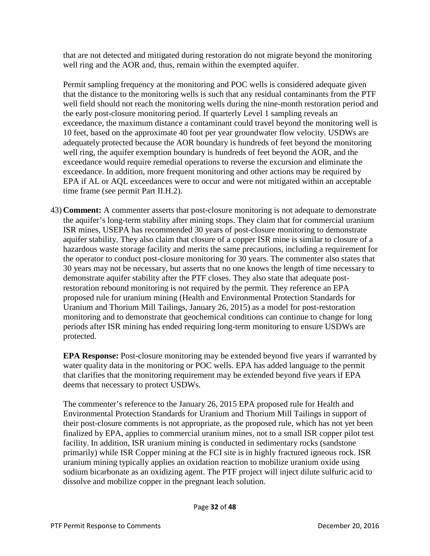that are not detected and mitigated during restoration do not migrate beyond the monitoring well ring and the AOR and, thus, remain within the exempted aquifer.

Permit sampling frequency at the monitoring and POC wells is considered adequate given that the distance to the monitoring wells is such that any residual contaminants from the PTF well field should not reach the monitoring wells during the nine-month restoration period and the early post-closure monitoring period. If quarterly Level 1 sampling reveals an exceedance, the maximum distance a contaminant could travel beyond the monitoring well is 10 feet, based on the approximate 40 foot per year groundwater flow velocity. USDWs are adequately protected because the AOR boundary is hundreds of feet beyond the monitoring well ring, the aquifer exemption boundary is hundreds of feet beyond the AOR, and the exceedance would require remedial operations to reverse the excursion and eliminate the exceedance. In addition, more frequent monitoring and other actions may be required by EPA if AL or AQL exceedances were to occur and were not mitigated within an acceptable time frame (see permit Part II.H.2).

43) **Comment:** A commenter asserts that post-closure monitoring is not adequate to demonstrate the aquifer's long-term stability after mining stops. They claim that for commercial uranium ISR mines, USEPA has recommended 30 years of post-closure monitoring to demonstrate aquifer stability. They also claim that closure of a copper ISR mine is similar to closure of a hazardous waste storage facility and merits the same precautions, including a requirement for the operator to conduct post-closure monitoring for 30 years. The commenter also states that 30 years may not be necessary, but asserts that no one knows the length of time necessary to demonstrate aquifer stability after the PTF closes. They also state that adequate postrestoration rebound monitoring is not required by the permit. They reference an EPA proposed rule for uranium mining (Health and Environmental Protection Standards for Uranium and Thorium Mill Tailings, January 26, 2015) as a model for post-restoration monitoring and to demonstrate that geochemical conditions can continue to change for long periods after ISR mining has ended requiring long-term monitoring to ensure USDWs are protected.

**EPA Response:** Post-closure monitoring may be extended beyond five years if warranted by water quality data in the monitoring or POC wells. EPA has added language to the permit that clarifies that the monitoring requirement may be extended beyond five years if EPA deems that necessary to protect USDWs.

The commenter's reference to the January 26, 2015 EPA proposed rule for Health and Environmental Protection Standards for Uranium and Thorium Mill Tailings in support of their post-closure comments is not appropriate, as the proposed rule, which has not yet been finalized by EPA, applies to commercial uranium mines, not to a small ISR copper pilot test facility. In addition, ISR uranium mining is conducted in sedimentary rocks (sandstone primarily) while ISR Copper mining at the FCI site is in highly fractured igneous rock. ISR uranium mining typically applies an oxidation reaction to mobilize uranium oxide using sodium bicarbonate as an oxidizing agent. The PTF project will inject dilute sulfuric acid to dissolve and mobilize copper in the pregnant leach solution.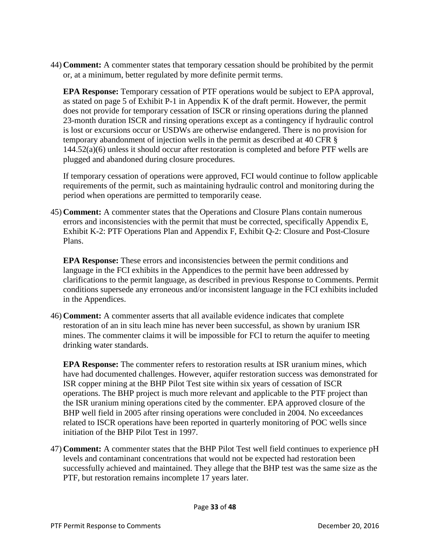44) **Comment:** A commenter states that temporary cessation should be prohibited by the permit or, at a minimum, better regulated by more definite permit terms.

**EPA Response:** Temporary cessation of PTF operations would be subject to EPA approval, as stated on page 5 of Exhibit P-1 in Appendix K of the draft permit. However, the permit does not provide for temporary cessation of ISCR or rinsing operations during the planned 23-month duration ISCR and rinsing operations except as a contingency if hydraulic control is lost or excursions occur or USDWs are otherwise endangered. There is no provision for temporary abandonment of injection wells in the permit as described at 40 CFR § 144.52(a)(6) unless it should occur after restoration is completed and before PTF wells are plugged and abandoned during closure procedures.

If temporary cessation of operations were approved, FCI would continue to follow applicable requirements of the permit, such as maintaining hydraulic control and monitoring during the period when operations are permitted to temporarily cease.

45) **Comment:** A commenter states that the Operations and Closure Plans contain numerous errors and inconsistencies with the permit that must be corrected, specifically Appendix E, Exhibit K-2: PTF Operations Plan and Appendix F, Exhibit Q-2: Closure and Post-Closure Plans.

**EPA Response:** These errors and inconsistencies between the permit conditions and language in the FCI exhibits in the Appendices to the permit have been addressed by clarifications to the permit language, as described in previous Response to Comments. Permit conditions supersede any erroneous and/or inconsistent language in the FCI exhibits included in the Appendices.

46) **Comment:** A commenter asserts that all available evidence indicates that complete restoration of an in situ leach mine has never been successful, as shown by uranium ISR mines. The commenter claims it will be impossible for FCI to return the aquifer to meeting drinking water standards.

**EPA Response:** The commenter refers to restoration results at ISR uranium mines, which have had documented challenges. However, aquifer restoration success was demonstrated for ISR copper mining at the BHP Pilot Test site within six years of cessation of ISCR operations. The BHP project is much more relevant and applicable to the PTF project than the ISR uranium mining operations cited by the commenter. EPA approved closure of the BHP well field in 2005 after rinsing operations were concluded in 2004. No exceedances related to ISCR operations have been reported in quarterly monitoring of POC wells since initiation of the BHP Pilot Test in 1997.

47) **Comment:** A commenter states that the BHP Pilot Test well field continues to experience pH levels and contaminant concentrations that would not be expected had restoration been successfully achieved and maintained. They allege that the BHP test was the same size as the PTF, but restoration remains incomplete 17 years later.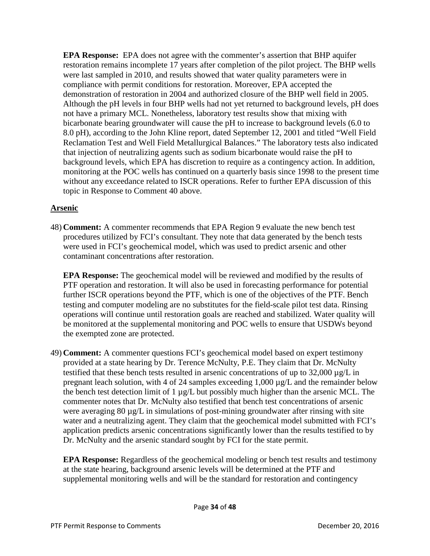**EPA Response:** EPA does not agree with the commenter's assertion that BHP aquifer restoration remains incomplete 17 years after completion of the pilot project. The BHP wells were last sampled in 2010, and results showed that water quality parameters were in compliance with permit conditions for restoration. Moreover, EPA accepted the demonstration of restoration in 2004 and authorized closure of the BHP well field in 2005. Although the pH levels in four BHP wells had not yet returned to background levels, pH does not have a primary MCL. Nonetheless, laboratory test results show that mixing with bicarbonate bearing groundwater will cause the pH to increase to background levels (6.0 to 8.0 pH), according to the John Kline report, dated September 12, 2001 and titled "Well Field Reclamation Test and Well Field Metallurgical Balances." The laboratory tests also indicated that injection of neutralizing agents such as sodium bicarbonate would raise the pH to background levels, which EPA has discretion to require as a contingency action. In addition, monitoring at the POC wells has continued on a quarterly basis since 1998 to the present time without any exceedance related to ISCR operations. Refer to further EPA discussion of this topic in Response to Comment 40 above.

# **Arsenic**

48) **Comment:** A commenter recommends that EPA Region 9 evaluate the new bench test procedures utilized by FCI's consultant. They note that data generated by the bench tests were used in FCI's geochemical model, which was used to predict arsenic and other contaminant concentrations after restoration.

**EPA Response:** The geochemical model will be reviewed and modified by the results of PTF operation and restoration. It will also be used in forecasting performance for potential further ISCR operations beyond the PTF, which is one of the objectives of the PTF. Bench testing and computer modeling are no substitutes for the field-scale pilot test data. Rinsing operations will continue until restoration goals are reached and stabilized. Water quality will be monitored at the supplemental monitoring and POC wells to ensure that USDWs beyond the exempted zone are protected.

49) **Comment:** A commenter questions FCI's geochemical model based on expert testimony provided at a state hearing by Dr. Terence McNulty, P.E. They claim that Dr. McNulty testified that these bench tests resulted in arsenic concentrations of up to 32,000 µg/L in pregnant leach solution, with 4 of 24 samples exceeding 1,000 µg/L and the remainder below the bench test detection limit of 1 µg/L but possibly much higher than the arsenic MCL. The commenter notes that Dr. McNulty also testified that bench test concentrations of arsenic were averaging 80  $\mu$ g/L in simulations of post-mining groundwater after rinsing with site water and a neutralizing agent. They claim that the geochemical model submitted with FCI's application predicts arsenic concentrations significantly lower than the results testified to by Dr. McNulty and the arsenic standard sought by FCI for the state permit.

**EPA Response:** Regardless of the geochemical modeling or bench test results and testimony at the state hearing, background arsenic levels will be determined at the PTF and supplemental monitoring wells and will be the standard for restoration and contingency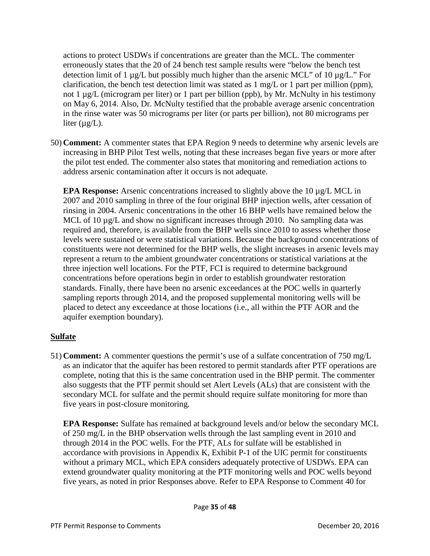actions to protect USDWs if concentrations are greater than the MCL. The commenter erroneously states that the 20 of 24 bench test sample results were "below the bench test detection limit of 1  $\mu$ g/L but possibly much higher than the arsenic MCL" of 10  $\mu$ g/L." For clarification, the bench test detection limit was stated as 1 mg/L or 1 part per million (ppm), not 1 µg/L (microgram per liter) or 1 part per billion (ppb), by Mr. McNulty in his testimony on May 6, 2014. Also, Dr. McNulty testified that the probable average arsenic concentration in the rinse water was 50 micrograms per liter (or parts per billion), not 80 micrograms per liter  $(\mu g/L)$ .

50) **Comment:** A commenter states that EPA Region 9 needs to determine why arsenic levels are increasing in BHP Pilot Test wells, noting that these increases began five years or more after the pilot test ended. The commenter also states that monitoring and remediation actions to address arsenic contamination after it occurs is not adequate.

**EPA Response:** Arsenic concentrations increased to slightly above the 10 µg/L MCL in 2007 and 2010 sampling in three of the four original BHP injection wells, after cessation of rinsing in 2004. Arsenic concentrations in the other 16 BHP wells have remained below the MCL of 10  $\mu$ g/L and show no significant increases through 2010. No sampling data was required and, therefore, is available from the BHP wells since 2010 to assess whether those levels were sustained or were statistical variations. Because the background concentrations of constituents were not determined for the BHP wells, the slight increases in arsenic levels may represent a return to the ambient groundwater concentrations or statistical variations at the three injection well locations. For the PTF, FCI is required to determine background concentrations before operations begin in order to establish groundwater restoration standards. Finally, there have been no arsenic exceedances at the POC wells in quarterly sampling reports through 2014, and the proposed supplemental monitoring wells will be placed to detect any exceedance at those locations (i.e., all within the PTF AOR and the aquifer exemption boundary).

## **Sulfate**

51) **Comment:** A commenter questions the permit's use of a sulfate concentration of 750 mg/L as an indicator that the aquifer has been restored to permit standards after PTF operations are complete, noting that this is the same concentration used in the BHP permit. The commenter also suggests that the PTF permit should set Alert Levels (ALs) that are consistent with the secondary MCL for sulfate and the permit should require sulfate monitoring for more than five years in post-closure monitoring.

**EPA Response:** Sulfate has remained at background levels and/or below the secondary MCL of 250 mg/L in the BHP observation wells through the last sampling event in 2010 and through 2014 in the POC wells. For the PTF, ALs for sulfate will be established in accordance with provisions in Appendix K, Exhibit P-1 of the UIC permit for constituents without a primary MCL, which EPA considers adequately protective of USDWs. EPA can extend groundwater quality monitoring at the PTF monitoring wells and POC wells beyond five years, as noted in prior Responses above. Refer to EPA Response to Comment 40 for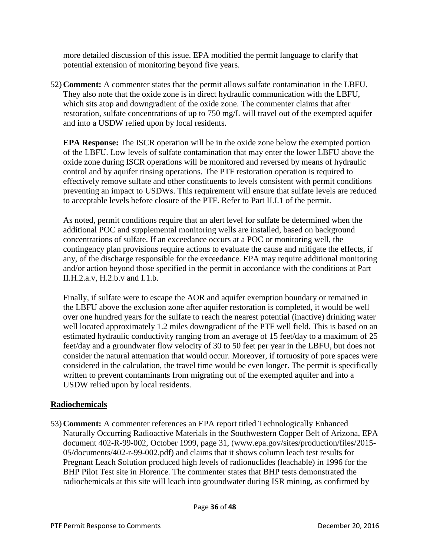more detailed discussion of this issue. EPA modified the permit language to clarify that potential extension of monitoring beyond five years.

52) **Comment:** A commenter states that the permit allows sulfate contamination in the LBFU. They also note that the oxide zone is in direct hydraulic communication with the LBFU, which sits atop and downgradient of the oxide zone. The commenter claims that after restoration, sulfate concentrations of up to 750 mg/L will travel out of the exempted aquifer and into a USDW relied upon by local residents.

**EPA Response:** The ISCR operation will be in the oxide zone below the exempted portion of the LBFU. Low levels of sulfate contamination that may enter the lower LBFU above the oxide zone during ISCR operations will be monitored and reversed by means of hydraulic control and by aquifer rinsing operations. The PTF restoration operation is required to effectively remove sulfate and other constituents to levels consistent with permit conditions preventing an impact to USDWs. This requirement will ensure that sulfate levels are reduced to acceptable levels before closure of the PTF. Refer to Part II.I.1 of the permit.

As noted, permit conditions require that an alert level for sulfate be determined when the additional POC and supplemental monitoring wells are installed, based on background concentrations of sulfate. If an exceedance occurs at a POC or monitoring well, the contingency plan provisions require actions to evaluate the cause and mitigate the effects, if any, of the discharge responsible for the exceedance. EPA may require additional monitoring and/or action beyond those specified in the permit in accordance with the conditions at Part II.H.2.a.v, H.2.b.v and I.1.b.

Finally, if sulfate were to escape the AOR and aquifer exemption boundary or remained in the LBFU above the exclusion zone after aquifer restoration is completed, it would be well over one hundred years for the sulfate to reach the nearest potential (inactive) drinking water well located approximately 1.2 miles downgradient of the PTF well field. This is based on an estimated hydraulic conductivity ranging from an average of 15 feet/day to a maximum of 25 feet/day and a groundwater flow velocity of 30 to 50 feet per year in the LBFU, but does not consider the natural attenuation that would occur. Moreover, if tortuosity of pore spaces were considered in the calculation, the travel time would be even longer. The permit is specifically written to prevent contaminants from migrating out of the exempted aquifer and into a USDW relied upon by local residents.

## **Radiochemicals**

53) **Comment:** A commenter references an EPA report titled Technologically Enhanced Naturally Occurring Radioactive Materials in the Southwestern Copper Belt of Arizona, EPA document 402-R-99-002, October 1999, page 31, (www.epa.gov/sites/production/files/2015- 05/documents/402-r-99-002.pdf) and claims that it shows column leach test results for Pregnant Leach Solution produced high levels of radionuclides (leachable) in 1996 for the BHP Pilot Test site in Florence. The commenter states that BHP tests demonstrated the radiochemicals at this site will leach into groundwater during ISR mining, as confirmed by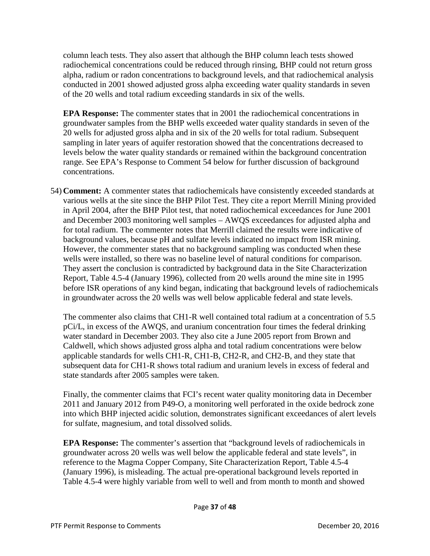column leach tests. They also assert that although the BHP column leach tests showed radiochemical concentrations could be reduced through rinsing, BHP could not return gross alpha, radium or radon concentrations to background levels, and that radiochemical analysis conducted in 2001 showed adjusted gross alpha exceeding water quality standards in seven of the 20 wells and total radium exceeding standards in six of the wells.

**EPA Response:** The commenter states that in 2001 the radiochemical concentrations in groundwater samples from the BHP wells exceeded water quality standards in seven of the 20 wells for adjusted gross alpha and in six of the 20 wells for total radium. Subsequent sampling in later years of aquifer restoration showed that the concentrations decreased to levels below the water quality standards or remained within the background concentration range. See EPA's Response to Comment 54 below for further discussion of background concentrations.

54) **Comment:** A commenter states that radiochemicals have consistently exceeded standards at various wells at the site since the BHP Pilot Test. They cite a report Merrill Mining provided in April 2004, after the BHP Pilot test, that noted radiochemical exceedances for June 2001 and December 2003 monitoring well samples – AWQS exceedances for adjusted alpha and for total radium. The commenter notes that Merrill claimed the results were indicative of background values, because pH and sulfate levels indicated no impact from ISR mining. However, the commenter states that no background sampling was conducted when these wells were installed, so there was no baseline level of natural conditions for comparison. They assert the conclusion is contradicted by background data in the Site Characterization Report, Table 4.5-4 (January 1996), collected from 20 wells around the mine site in 1995 before ISR operations of any kind began, indicating that background levels of radiochemicals in groundwater across the 20 wells was well below applicable federal and state levels.

The commenter also claims that CH1-R well contained total radium at a concentration of 5.5 pCi/L, in excess of the AWQS, and uranium concentration four times the federal drinking water standard in December 2003. They also cite a June 2005 report from Brown and Caldwell, which shows adjusted gross alpha and total radium concentrations were below applicable standards for wells CH1-R, CH1-B, CH2-R, and CH2-B, and they state that subsequent data for CH1-R shows total radium and uranium levels in excess of federal and state standards after 2005 samples were taken.

Finally, the commenter claims that FCI's recent water quality monitoring data in December 2011 and January 2012 from P49-O, a monitoring well perforated in the oxide bedrock zone into which BHP injected acidic solution, demonstrates significant exceedances of alert levels for sulfate, magnesium, and total dissolved solids.

**EPA Response:** The commenter's assertion that "background levels of radiochemicals in groundwater across 20 wells was well below the applicable federal and state levels", in reference to the Magma Copper Company, Site Characterization Report, Table 4.5-4 (January 1996), is misleading. The actual pre-operational background levels reported in Table 4.5-4 were highly variable from well to well and from month to month and showed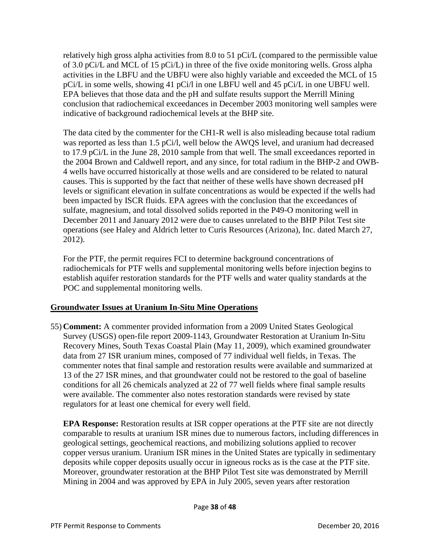relatively high gross alpha activities from 8.0 to 51 pCi/L (compared to the permissible value of 3.0 pCi/L and MCL of 15 pCi/L) in three of the five oxide monitoring wells. Gross alpha activities in the LBFU and the UBFU were also highly variable and exceeded the MCL of 15 pCi/L in some wells, showing 41 pCi/l in one LBFU well and 45 pCi/L in one UBFU well. EPA believes that those data and the pH and sulfate results support the Merrill Mining conclusion that radiochemical exceedances in December 2003 monitoring well samples were indicative of background radiochemical levels at the BHP site.

The data cited by the commenter for the CH1-R well is also misleading because total radium was reported as less than 1.5 pCi/l, well below the AWQS level, and uranium had decreased to 17.9 pCi/L in the June 28, 2010 sample from that well. The small exceedances reported in the 2004 Brown and Caldwell report, and any since, for total radium in the BHP-2 and OWB-4 wells have occurred historically at those wells and are considered to be related to natural causes. This is supported by the fact that neither of these wells have shown decreased pH levels or significant elevation in sulfate concentrations as would be expected if the wells had been impacted by ISCR fluids. EPA agrees with the conclusion that the exceedances of sulfate, magnesium, and total dissolved solids reported in the P49-O monitoring well in December 2011 and January 2012 were due to causes unrelated to the BHP Pilot Test site operations (see Haley and Aldrich letter to Curis Resources (Arizona), Inc. dated March 27, 2012).

For the PTF, the permit requires FCI to determine background concentrations of radiochemicals for PTF wells and supplemental monitoring wells before injection begins to establish aquifer restoration standards for the PTF wells and water quality standards at the POC and supplemental monitoring wells.

# **Groundwater Issues at Uranium In-Situ Mine Operations**

55) **Comment:** A commenter provided information from a 2009 United States Geological Survey (USGS) open-file report 2009-1143, Groundwater Restoration at Uranium In-Situ Recovery Mines, South Texas Coastal Plain (May 11, 2009), which examined groundwater data from 27 ISR uranium mines, composed of 77 individual well fields, in Texas. The commenter notes that final sample and restoration results were available and summarized at 13 of the 27 ISR mines, and that groundwater could not be restored to the goal of baseline conditions for all 26 chemicals analyzed at 22 of 77 well fields where final sample results were available. The commenter also notes restoration standards were revised by state regulators for at least one chemical for every well field.

**EPA Response:** Restoration results at ISR copper operations at the PTF site are not directly comparable to results at uranium ISR mines due to numerous factors, including differences in geological settings, geochemical reactions, and mobilizing solutions applied to recover copper versus uranium. Uranium ISR mines in the United States are typically in sedimentary deposits while copper deposits usually occur in igneous rocks as is the case at the PTF site. Moreover, groundwater restoration at the BHP Pilot Test site was demonstrated by Merrill Mining in 2004 and was approved by EPA in July 2005, seven years after restoration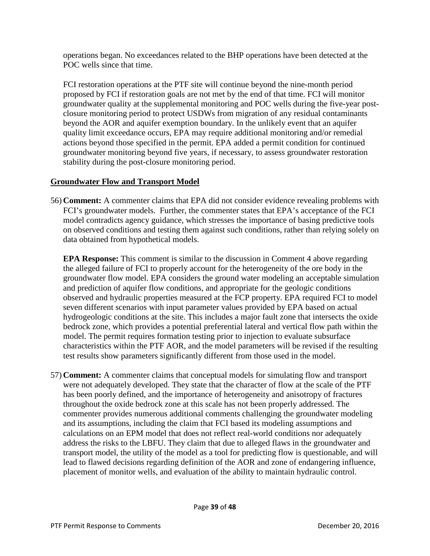operations began. No exceedances related to the BHP operations have been detected at the POC wells since that time.

FCI restoration operations at the PTF site will continue beyond the nine-month period proposed by FCI if restoration goals are not met by the end of that time. FCI will monitor groundwater quality at the supplemental monitoring and POC wells during the five-year postclosure monitoring period to protect USDWs from migration of any residual contaminants beyond the AOR and aquifer exemption boundary. In the unlikely event that an aquifer quality limit exceedance occurs, EPA may require additional monitoring and/or remedial actions beyond those specified in the permit. EPA added a permit condition for continued groundwater monitoring beyond five years, if necessary, to assess groundwater restoration stability during the post-closure monitoring period.

# **Groundwater Flow and Transport Model**

56) **Comment:** A commenter claims that EPA did not consider evidence revealing problems with FCI's groundwater models. Further, the commenter states that EPA's acceptance of the FCI model contradicts agency guidance, which stresses the importance of basing predictive tools on observed conditions and testing them against such conditions, rather than relying solely on data obtained from hypothetical models.

**EPA Response:** This comment is similar to the discussion in Comment 4 above regarding the alleged failure of FCI to properly account for the heterogeneity of the ore body in the groundwater flow model. EPA considers the ground water modeling an acceptable simulation and prediction of aquifer flow conditions, and appropriate for the geologic conditions observed and hydraulic properties measured at the FCP property. EPA required FCI to model seven different scenarios with input parameter values provided by EPA based on actual hydrogeologic conditions at the site. This includes a major fault zone that intersects the oxide bedrock zone, which provides a potential preferential lateral and vertical flow path within the model. The permit requires formation testing prior to injection to evaluate subsurface characteristics within the PTF AOR, and the model parameters will be revised if the resulting test results show parameters significantly different from those used in the model.

57) **Comment:** A commenter claims that conceptual models for simulating flow and transport were not adequately developed. They state that the character of flow at the scale of the PTF has been poorly defined, and the importance of heterogeneity and anisotropy of fractures throughout the oxide bedrock zone at this scale has not been properly addressed. The commenter provides numerous additional comments challenging the groundwater modeling and its assumptions, including the claim that FCI based its modeling assumptions and calculations on an EPM model that does not reflect real-world conditions nor adequately address the risks to the LBFU. They claim that due to alleged flaws in the groundwater and transport model, the utility of the model as a tool for predicting flow is questionable, and will lead to flawed decisions regarding definition of the AOR and zone of endangering influence, placement of monitor wells, and evaluation of the ability to maintain hydraulic control.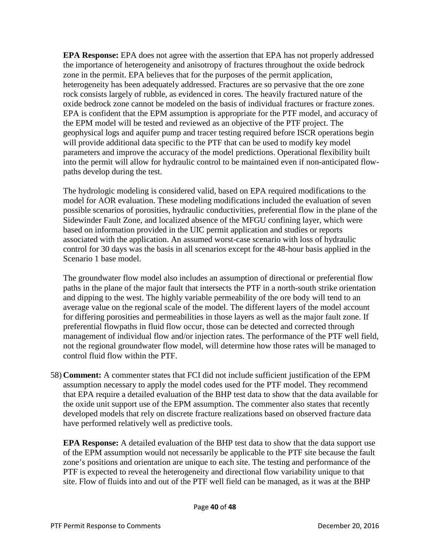**EPA Response:** EPA does not agree with the assertion that EPA has not properly addressed the importance of heterogeneity and anisotropy of fractures throughout the oxide bedrock zone in the permit. EPA believes that for the purposes of the permit application, heterogeneity has been adequately addressed. Fractures are so pervasive that the ore zone rock consists largely of rubble, as evidenced in cores. The heavily fractured nature of the oxide bedrock zone cannot be modeled on the basis of individual fractures or fracture zones. EPA is confident that the EPM assumption is appropriate for the PTF model, and accuracy of the EPM model will be tested and reviewed as an objective of the PTF project. The geophysical logs and aquifer pump and tracer testing required before ISCR operations begin will provide additional data specific to the PTF that can be used to modify key model parameters and improve the accuracy of the model predictions. Operational flexibility built into the permit will allow for hydraulic control to be maintained even if non-anticipated flowpaths develop during the test.

The hydrologic modeling is considered valid, based on EPA required modifications to the model for AOR evaluation. These modeling modifications included the evaluation of seven possible scenarios of porosities, hydraulic conductivities, preferential flow in the plane of the Sidewinder Fault Zone, and localized absence of the MFGU confining layer, which were based on information provided in the UIC permit application and studies or reports associated with the application. An assumed worst-case scenario with loss of hydraulic control for 30 days was the basis in all scenarios except for the 48-hour basis applied in the Scenario 1 base model.

The groundwater flow model also includes an assumption of directional or preferential flow paths in the plane of the major fault that intersects the PTF in a north-south strike orientation and dipping to the west. The highly variable permeability of the ore body will tend to an average value on the regional scale of the model. The different layers of the model account for differing porosities and permeabilities in those layers as well as the major fault zone. If preferential flowpaths in fluid flow occur, those can be detected and corrected through management of individual flow and/or injection rates. The performance of the PTF well field, not the regional groundwater flow model, will determine how those rates will be managed to control fluid flow within the PTF.

58) **Comment:** A commenter states that FCI did not include sufficient justification of the EPM assumption necessary to apply the model codes used for the PTF model. They recommend that EPA require a detailed evaluation of the BHP test data to show that the data available for the oxide unit support use of the EPM assumption. The commenter also states that recently developed models that rely on discrete fracture realizations based on observed fracture data have performed relatively well as predictive tools.

**EPA Response:** A detailed evaluation of the BHP test data to show that the data support use of the EPM assumption would not necessarily be applicable to the PTF site because the fault zone's positions and orientation are unique to each site. The testing and performance of the PTF is expected to reveal the heterogeneity and directional flow variability unique to that site. Flow of fluids into and out of the PTF well field can be managed, as it was at the BHP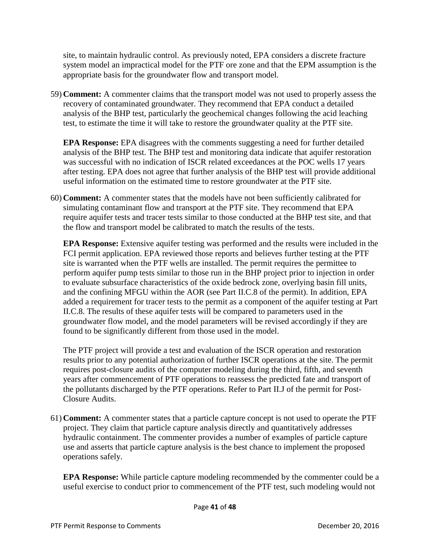site, to maintain hydraulic control. As previously noted, EPA considers a discrete fracture system model an impractical model for the PTF ore zone and that the EPM assumption is the appropriate basis for the groundwater flow and transport model.

59) **Comment:** A commenter claims that the transport model was not used to properly assess the recovery of contaminated groundwater. They recommend that EPA conduct a detailed analysis of the BHP test, particularly the geochemical changes following the acid leaching test, to estimate the time it will take to restore the groundwater quality at the PTF site.

**EPA Response:** EPA disagrees with the comments suggesting a need for further detailed analysis of the BHP test. The BHP test and monitoring data indicate that aquifer restoration was successful with no indication of ISCR related exceedances at the POC wells 17 years after testing. EPA does not agree that further analysis of the BHP test will provide additional useful information on the estimated time to restore groundwater at the PTF site.

60) **Comment:** A commenter states that the models have not been sufficiently calibrated for simulating contaminant flow and transport at the PTF site. They recommend that EPA require aquifer tests and tracer tests similar to those conducted at the BHP test site, and that the flow and transport model be calibrated to match the results of the tests.

**EPA Response:** Extensive aquifer testing was performed and the results were included in the FCI permit application. EPA reviewed those reports and believes further testing at the PTF site is warranted when the PTF wells are installed. The permit requires the permittee to perform aquifer pump tests similar to those run in the BHP project prior to injection in order to evaluate subsurface characteristics of the oxide bedrock zone, overlying basin fill units, and the confining MFGU within the AOR (see Part II.C.8 of the permit). In addition, EPA added a requirement for tracer tests to the permit as a component of the aquifer testing at Part II.C.8. The results of these aquifer tests will be compared to parameters used in the groundwater flow model, and the model parameters will be revised accordingly if they are found to be significantly different from those used in the model.

The PTF project will provide a test and evaluation of the ISCR operation and restoration results prior to any potential authorization of further ISCR operations at the site. The permit requires post-closure audits of the computer modeling during the third, fifth, and seventh years after commencement of PTF operations to reassess the predicted fate and transport of the pollutants discharged by the PTF operations. Refer to Part II.J of the permit for Post-Closure Audits.

61) **Comment:** A commenter states that a particle capture concept is not used to operate the PTF project. They claim that particle capture analysis directly and quantitatively addresses hydraulic containment. The commenter provides a number of examples of particle capture use and asserts that particle capture analysis is the best chance to implement the proposed operations safely.

**EPA Response:** While particle capture modeling recommended by the commenter could be a useful exercise to conduct prior to commencement of the PTF test, such modeling would not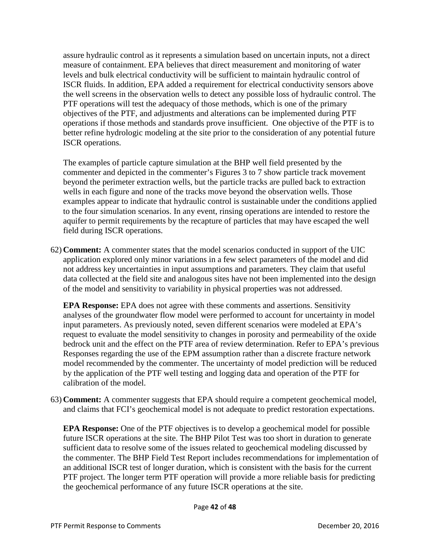assure hydraulic control as it represents a simulation based on uncertain inputs, not a direct measure of containment. EPA believes that direct measurement and monitoring of water levels and bulk electrical conductivity will be sufficient to maintain hydraulic control of ISCR fluids. In addition, EPA added a requirement for electrical conductivity sensors above the well screens in the observation wells to detect any possible loss of hydraulic control. The PTF operations will test the adequacy of those methods, which is one of the primary objectives of the PTF, and adjustments and alterations can be implemented during PTF operations if those methods and standards prove insufficient. One objective of the PTF is to better refine hydrologic modeling at the site prior to the consideration of any potential future ISCR operations.

The examples of particle capture simulation at the BHP well field presented by the commenter and depicted in the commenter's Figures 3 to 7 show particle track movement beyond the perimeter extraction wells, but the particle tracks are pulled back to extraction wells in each figure and none of the tracks move beyond the observation wells. Those examples appear to indicate that hydraulic control is sustainable under the conditions applied to the four simulation scenarios. In any event, rinsing operations are intended to restore the aquifer to permit requirements by the recapture of particles that may have escaped the well field during ISCR operations.

62) **Comment:** A commenter states that the model scenarios conducted in support of the UIC application explored only minor variations in a few select parameters of the model and did not address key uncertainties in input assumptions and parameters. They claim that useful data collected at the field site and analogous sites have not been implemented into the design of the model and sensitivity to variability in physical properties was not addressed.

**EPA Response:** EPA does not agree with these comments and assertions. Sensitivity analyses of the groundwater flow model were performed to account for uncertainty in model input parameters. As previously noted, seven different scenarios were modeled at EPA's request to evaluate the model sensitivity to changes in porosity and permeability of the oxide bedrock unit and the effect on the PTF area of review determination. Refer to EPA's previous Responses regarding the use of the EPM assumption rather than a discrete fracture network model recommended by the commenter. The uncertainty of model prediction will be reduced by the application of the PTF well testing and logging data and operation of the PTF for calibration of the model.

63) **Comment:** A commenter suggests that EPA should require a competent geochemical model, and claims that FCI's geochemical model is not adequate to predict restoration expectations.

**EPA Response:** One of the PTF objectives is to develop a geochemical model for possible future ISCR operations at the site. The BHP Pilot Test was too short in duration to generate sufficient data to resolve some of the issues related to geochemical modeling discussed by the commenter. The BHP Field Test Report includes recommendations for implementation of an additional ISCR test of longer duration, which is consistent with the basis for the current PTF project. The longer term PTF operation will provide a more reliable basis for predicting the geochemical performance of any future ISCR operations at the site.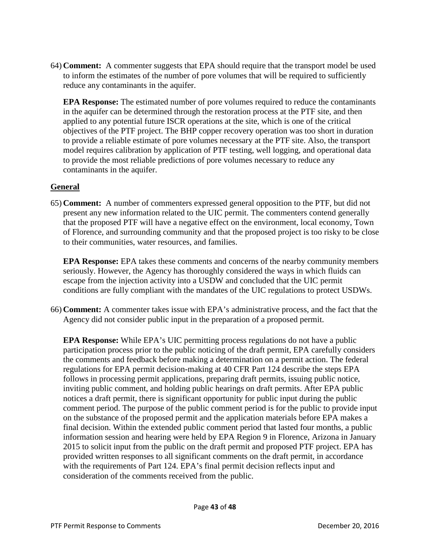64) **Comment:** A commenter suggests that EPA should require that the transport model be used to inform the estimates of the number of pore volumes that will be required to sufficiently reduce any contaminants in the aquifer.

**EPA Response:** The estimated number of pore volumes required to reduce the contaminants in the aquifer can be determined through the restoration process at the PTF site, and then applied to any potential future ISCR operations at the site, which is one of the critical objectives of the PTF project. The BHP copper recovery operation was too short in duration to provide a reliable estimate of pore volumes necessary at the PTF site. Also, the transport model requires calibration by application of PTF testing, well logging, and operational data to provide the most reliable predictions of pore volumes necessary to reduce any contaminants in the aquifer.

#### **General**

65) **Comment:** A number of commenters expressed general opposition to the PTF, but did not present any new information related to the UIC permit. The commenters contend generally that the proposed PTF will have a negative effect on the environment, local economy, Town of Florence, and surrounding community and that the proposed project is too risky to be close to their communities, water resources, and families.

**EPA Response:** EPA takes these comments and concerns of the nearby community members seriously. However, the Agency has thoroughly considered the ways in which fluids can escape from the injection activity into a USDW and concluded that the UIC permit conditions are fully compliant with the mandates of the UIC regulations to protect USDWs.

66) **Comment:** A commenter takes issue with EPA's administrative process, and the fact that the Agency did not consider public input in the preparation of a proposed permit.

**EPA Response:** While EPA's UIC permitting process regulations do not have a public participation process prior to the public noticing of the draft permit, EPA carefully considers the comments and feedback before making a determination on a permit action. The federal regulations for EPA permit decision-making at 40 CFR Part 124 describe the steps EPA follows in processing permit applications, preparing draft permits, issuing public notice, inviting public comment, and holding public hearings on draft permits. After EPA public notices a draft permit, there is significant opportunity for public input during the public comment period. The purpose of the public comment period is for the public to provide input on the substance of the proposed permit and the application materials before EPA makes a final decision. Within the extended public comment period that lasted four months, a public information session and hearing were held by EPA Region 9 in Florence, Arizona in January 2015 to solicit input from the public on the draft permit and proposed PTF project. EPA has provided written responses to all significant comments on the draft permit, in accordance with the requirements of Part 124. EPA's final permit decision reflects input and consideration of the comments received from the public.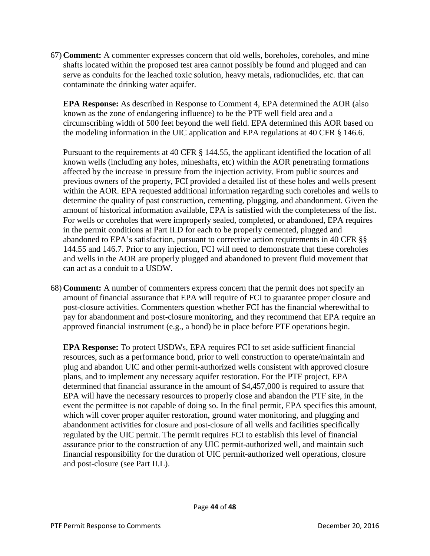67) **Comment:** A commenter expresses concern that old wells, boreholes, coreholes, and mine shafts located within the proposed test area cannot possibly be found and plugged and can serve as conduits for the leached toxic solution, heavy metals, radionuclides, etc. that can contaminate the drinking water aquifer.

**EPA Response:** As described in Response to Comment 4, EPA determined the AOR (also known as the zone of endangering influence) to be the PTF well field area and a circumscribing width of 500 feet beyond the well field. EPA determined this AOR based on the modeling information in the UIC application and EPA regulations at 40 CFR § 146.6.

Pursuant to the requirements at 40 CFR § 144.55, the applicant identified the location of all known wells (including any holes, mineshafts, etc) within the AOR penetrating formations affected by the increase in pressure from the injection activity. From public sources and previous owners of the property, FCI provided a detailed list of these holes and wells present within the AOR. EPA requested additional information regarding such coreholes and wells to determine the quality of past construction, cementing, plugging, and abandonment. Given the amount of historical information available, EPA is satisfied with the completeness of the list. For wells or coreholes that were improperly sealed, completed, or abandoned, EPA requires in the permit conditions at Part II.D for each to be properly cemented, plugged and abandoned to EPA's satisfaction, pursuant to corrective action requirements in 40 CFR §§ 144.55 and 146.7. Prior to any injection, FCI will need to demonstrate that these coreholes and wells in the AOR are properly plugged and abandoned to prevent fluid movement that can act as a conduit to a USDW.

68) **Comment:** A number of commenters express concern that the permit does not specify an amount of financial assurance that EPA will require of FCI to guarantee proper closure and post-closure activities. Commenters question whether FCI has the financial wherewithal to pay for abandonment and post-closure monitoring, and they recommend that EPA require an approved financial instrument (e.g., a bond) be in place before PTF operations begin.

**EPA Response:** To protect USDWs, EPA requires FCI to set aside sufficient financial resources, such as a performance bond, prior to well construction to operate/maintain and plug and abandon UIC and other permit-authorized wells consistent with approved closure plans, and to implement any necessary aquifer restoration. For the PTF project, EPA determined that financial assurance in the amount of \$4,457,000 is required to assure that EPA will have the necessary resources to properly close and abandon the PTF site, in the event the permittee is not capable of doing so. In the final permit, EPA specifies this amount, which will cover proper aquifer restoration, ground water monitoring, and plugging and abandonment activities for closure and post-closure of all wells and facilities specifically regulated by the UIC permit. The permit requires FCI to establish this level of financial assurance prior to the construction of any UIC permit-authorized well, and maintain such financial responsibility for the duration of UIC permit-authorized well operations, closure and post-closure (see Part II.L).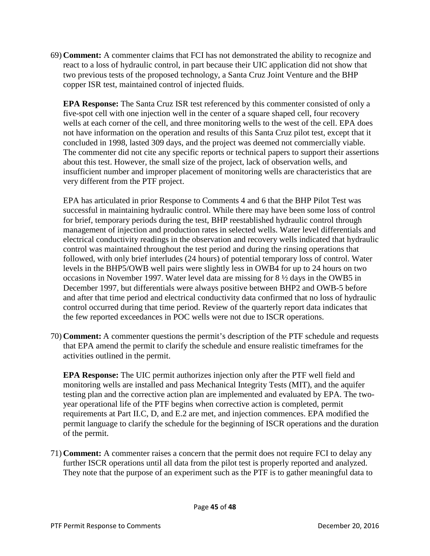69) **Comment:** A commenter claims that FCI has not demonstrated the ability to recognize and react to a loss of hydraulic control, in part because their UIC application did not show that two previous tests of the proposed technology, a Santa Cruz Joint Venture and the BHP copper ISR test, maintained control of injected fluids.

**EPA Response:** The Santa Cruz ISR test referenced by this commenter consisted of only a five-spot cell with one injection well in the center of a square shaped cell, four recovery wells at each corner of the cell, and three monitoring wells to the west of the cell. EPA does not have information on the operation and results of this Santa Cruz pilot test, except that it concluded in 1998, lasted 309 days, and the project was deemed not commercially viable. The commenter did not cite any specific reports or technical papers to support their assertions about this test. However, the small size of the project, lack of observation wells, and insufficient number and improper placement of monitoring wells are characteristics that are very different from the PTF project.

EPA has articulated in prior Response to Comments 4 and 6 that the BHP Pilot Test was successful in maintaining hydraulic control. While there may have been some loss of control for brief, temporary periods during the test, BHP reestablished hydraulic control through management of injection and production rates in selected wells. Water level differentials and electrical conductivity readings in the observation and recovery wells indicated that hydraulic control was maintained throughout the test period and during the rinsing operations that followed, with only brief interludes (24 hours) of potential temporary loss of control. Water levels in the BHP5/OWB well pairs were slightly less in OWB4 for up to 24 hours on two occasions in November 1997. Water level data are missing for 8 ½ days in the OWB5 in December 1997, but differentials were always positive between BHP2 and OWB-5 before and after that time period and electrical conductivity data confirmed that no loss of hydraulic control occurred during that time period. Review of the quarterly report data indicates that the few reported exceedances in POC wells were not due to ISCR operations.

70) **Comment:** A commenter questions the permit's description of the PTF schedule and requests that EPA amend the permit to clarify the schedule and ensure realistic timeframes for the activities outlined in the permit.

**EPA Response:** The UIC permit authorizes injection only after the PTF well field and monitoring wells are installed and pass Mechanical Integrity Tests (MIT), and the aquifer testing plan and the corrective action plan are implemented and evaluated by EPA. The twoyear operational life of the PTF begins when corrective action is completed, permit requirements at Part II.C, D, and E.2 are met, and injection commences. EPA modified the permit language to clarify the schedule for the beginning of ISCR operations and the duration of the permit.

71) **Comment:** A commenter raises a concern that the permit does not require FCI to delay any further ISCR operations until all data from the pilot test is properly reported and analyzed. They note that the purpose of an experiment such as the PTF is to gather meaningful data to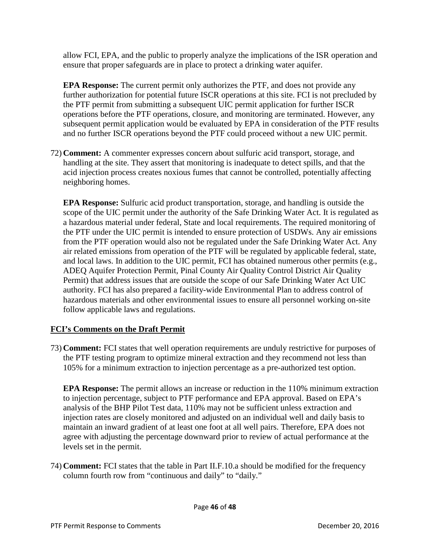allow FCI, EPA, and the public to properly analyze the implications of the ISR operation and ensure that proper safeguards are in place to protect a drinking water aquifer.

**EPA Response:** The current permit only authorizes the PTF, and does not provide any further authorization for potential future ISCR operations at this site. FCI is not precluded by the PTF permit from submitting a subsequent UIC permit application for further ISCR operations before the PTF operations, closure, and monitoring are terminated. However, any subsequent permit application would be evaluated by EPA in consideration of the PTF results and no further ISCR operations beyond the PTF could proceed without a new UIC permit.

72) **Comment:** A commenter expresses concern about sulfuric acid transport, storage, and handling at the site. They assert that monitoring is inadequate to detect spills, and that the acid injection process creates noxious fumes that cannot be controlled, potentially affecting neighboring homes.

**EPA Response:** Sulfuric acid product transportation, storage, and handling is outside the scope of the UIC permit under the authority of the Safe Drinking Water Act. It is regulated as a hazardous material under federal, State and local requirements. The required monitoring of the PTF under the UIC permit is intended to ensure protection of USDWs. Any air emissions from the PTF operation would also not be regulated under the Safe Drinking Water Act. Any air related emissions from operation of the PTF will be regulated by applicable federal, state, and local laws. In addition to the UIC permit, FCI has obtained numerous other permits (e.g., ADEQ Aquifer Protection Permit, Pinal County Air Quality Control District Air Quality Permit) that address issues that are outside the scope of our Safe Drinking Water Act UIC authority. FCI has also prepared a facility-wide Environmental Plan to address control of hazardous materials and other environmental issues to ensure all personnel working on-site follow applicable laws and regulations.

# **FCI's Comments on the Draft Permit**

73) **Comment:** FCI states that well operation requirements are unduly restrictive for purposes of the PTF testing program to optimize mineral extraction and they recommend not less than 105% for a minimum extraction to injection percentage as a pre-authorized test option.

**EPA Response:** The permit allows an increase or reduction in the 110% minimum extraction to injection percentage, subject to PTF performance and EPA approval. Based on EPA's analysis of the BHP Pilot Test data, 110% may not be sufficient unless extraction and injection rates are closely monitored and adjusted on an individual well and daily basis to maintain an inward gradient of at least one foot at all well pairs. Therefore, EPA does not agree with adjusting the percentage downward prior to review of actual performance at the levels set in the permit.

74) **Comment:** FCI states that the table in Part II.F.10.a should be modified for the frequency column fourth row from "continuous and daily" to "daily."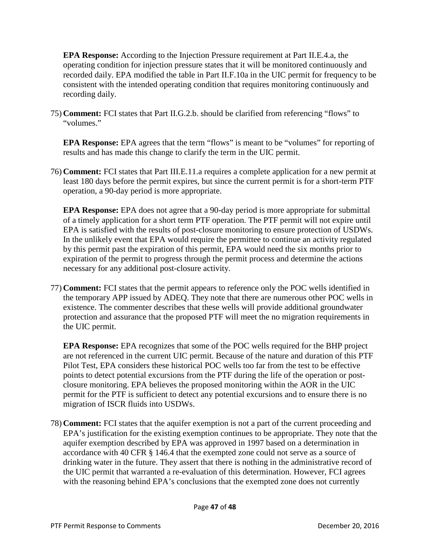**EPA Response:** According to the Injection Pressure requirement at Part II.E.4.a, the operating condition for injection pressure states that it will be monitored continuously and recorded daily. EPA modified the table in Part II.F.10a in the UIC permit for frequency to be consistent with the intended operating condition that requires monitoring continuously and recording daily.

75) **Comment:** FCI states that Part II.G.2.b. should be clarified from referencing "flows" to "volumes."

**EPA Response:** EPA agrees that the term "flows" is meant to be "volumes" for reporting of results and has made this change to clarify the term in the UIC permit.

76) **Comment:** FCI states that Part III.E.11.a requires a complete application for a new permit at least 180 days before the permit expires, but since the current permit is for a short-term PTF operation, a 90-day period is more appropriate.

**EPA Response:** EPA does not agree that a 90-day period is more appropriate for submittal of a timely application for a short term PTF operation. The PTF permit will not expire until EPA is satisfied with the results of post-closure monitoring to ensure protection of USDWs. In the unlikely event that EPA would require the permittee to continue an activity regulated by this permit past the expiration of this permit, EPA would need the six months prior to expiration of the permit to progress through the permit process and determine the actions necessary for any additional post-closure activity.

77) **Comment:** FCI states that the permit appears to reference only the POC wells identified in the temporary APP issued by ADEQ. They note that there are numerous other POC wells in existence. The commenter describes that these wells will provide additional groundwater protection and assurance that the proposed PTF will meet the no migration requirements in the UIC permit.

**EPA Response:** EPA recognizes that some of the POC wells required for the BHP project are not referenced in the current UIC permit. Because of the nature and duration of this PTF Pilot Test, EPA considers these historical POC wells too far from the test to be effective points to detect potential excursions from the PTF during the life of the operation or postclosure monitoring. EPA believes the proposed monitoring within the AOR in the UIC permit for the PTF is sufficient to detect any potential excursions and to ensure there is no migration of ISCR fluids into USDWs.

78) **Comment:** FCI states that the aquifer exemption is not a part of the current proceeding and EPA's justification for the existing exemption continues to be appropriate. They note that the aquifer exemption described by EPA was approved in 1997 based on a determination in accordance with 40 CFR § 146.4 that the exempted zone could not serve as a source of drinking water in the future. They assert that there is nothing in the administrative record of the UIC permit that warranted a re-evaluation of this determination. However, FCI agrees with the reasoning behind EPA's conclusions that the exempted zone does not currently